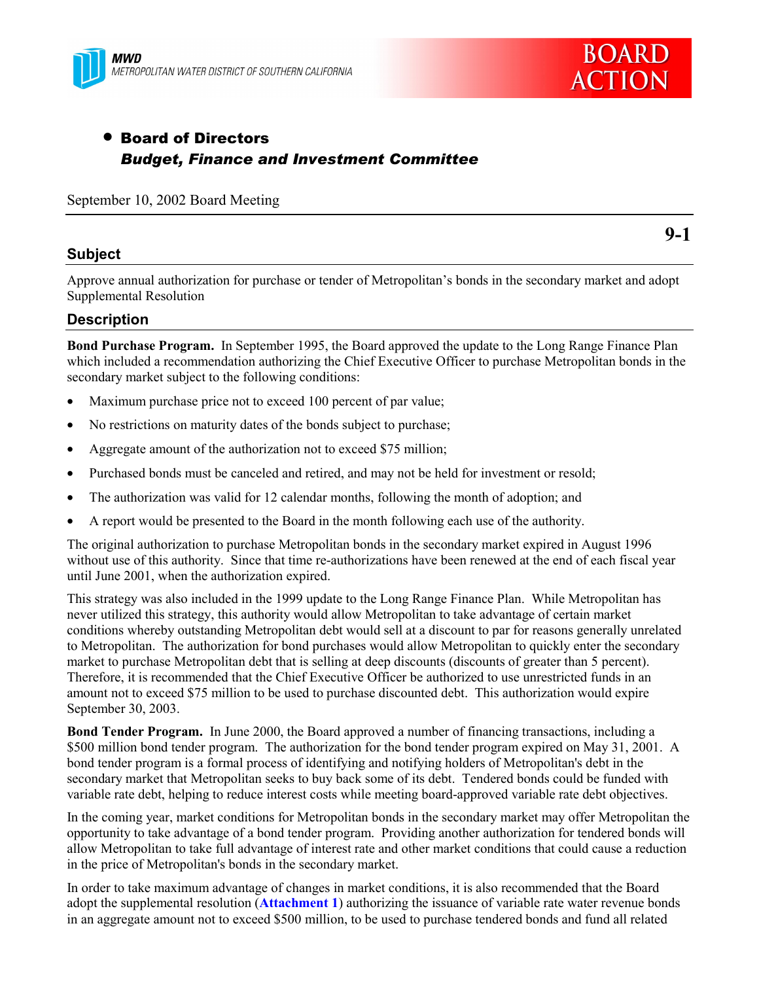



# • Board of Directors *Budget, Finance and Investment Committee*

September 10, 2002 Board Meeting

## **Subject**

**9-1**

Approve annual authorization for purchase or tender of Metropolitan's bonds in the secondary market and adopt Supplemental Resolution

## **Description**

**Bond Purchase Program.** In September 1995, the Board approved the update to the Long Range Finance Plan which included a recommendation authorizing the Chief Executive Officer to purchase Metropolitan bonds in the secondary market subject to the following conditions:

- Maximum purchase price not to exceed 100 percent of par value;
- No restrictions on maturity dates of the bonds subject to purchase;
- Aggregate amount of the authorization not to exceed \$75 million;
- Purchased bonds must be canceled and retired, and may not be held for investment or resold;
- The authorization was valid for 12 calendar months, following the month of adoption; and
- A report would be presented to the Board in the month following each use of the authority.

The original authorization to purchase Metropolitan bonds in the secondary market expired in August 1996 without use of this authority. Since that time re-authorizations have been renewed at the end of each fiscal year until June 2001, when the authorization expired.

This strategy was also included in the 1999 update to the Long Range Finance Plan. While Metropolitan has never utilized this strategy, this authority would allow Metropolitan to take advantage of certain market conditions whereby outstanding Metropolitan debt would sell at a discount to par for reasons generally unrelated to Metropolitan. The authorization for bond purchases would allow Metropolitan to quickly enter the secondary market to purchase Metropolitan debt that is selling at deep discounts (discounts of greater than 5 percent). Therefore, it is recommended that the Chief Executive Officer be authorized to use unrestricted funds in an amount not to exceed \$75 million to be used to purchase discounted debt. This authorization would expire September 30, 2003.

**Bond Tender Program.** In June 2000, the Board approved a number of financing transactions, including a \$500 million bond tender program. The authorization for the bond tender program expired on May 31, 2001. A bond tender program is a formal process of identifying and notifying holders of Metropolitan's debt in the secondary market that Metropolitan seeks to buy back some of its debt. Tendered bonds could be funded with variable rate debt, helping to reduce interest costs while meeting board-approved variable rate debt objectives.

In the coming year, market conditions for Metropolitan bonds in the secondary market may offer Metropolitan the opportunity to take advantage of a bond tender program. Providing another authorization for tendered bonds will allow Metropolitan to take full advantage of interest rate and other market conditions that could cause a reduction in the price of Metropolitan's bonds in the secondary market.

In order to take maximum advantage of changes in market conditions, it is also recommended that the Board adopt the supplemental resolution (**Attachment 1**) authorizing the issuance of variable rate water revenue bonds in an aggregate amount not to exceed \$500 million, to be used to purchase tendered bonds and fund all related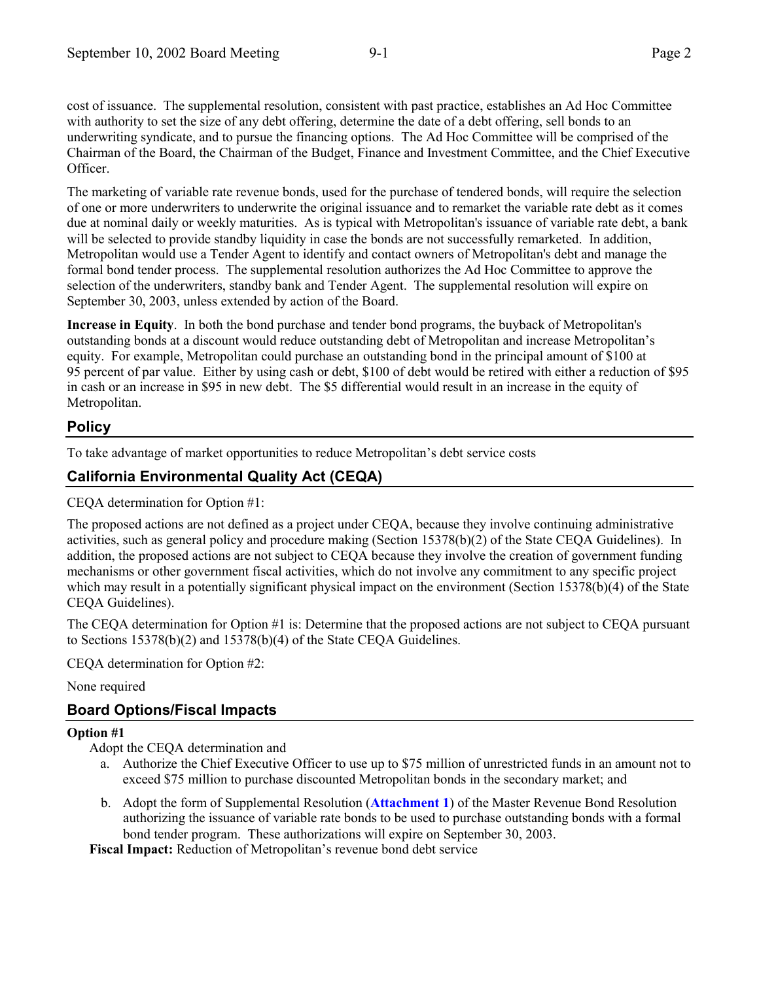cost of issuance. The supplemental resolution, consistent with past practice, establishes an Ad Hoc Committee with authority to set the size of any debt offering, determine the date of a debt offering, sell bonds to an underwriting syndicate, and to pursue the financing options. The Ad Hoc Committee will be comprised of the Chairman of the Board, the Chairman of the Budget, Finance and Investment Committee, and the Chief Executive Officer.

The marketing of variable rate revenue bonds, used for the purchase of tendered bonds, will require the selection of one or more underwriters to underwrite the original issuance and to remarket the variable rate debt as it comes due at nominal daily or weekly maturities. As is typical with Metropolitan's issuance of variable rate debt, a bank will be selected to provide standby liquidity in case the bonds are not successfully remarketed. In addition, Metropolitan would use a Tender Agent to identify and contact owners of Metropolitan's debt and manage the formal bond tender process. The supplemental resolution authorizes the Ad Hoc Committee to approve the selection of the underwriters, standby bank and Tender Agent. The supplemental resolution will expire on September 30, 2003, unless extended by action of the Board.

**Increase in Equity**. In both the bond purchase and tender bond programs, the buyback of Metropolitan's outstanding bonds at a discount would reduce outstanding debt of Metropolitan and increase Metropolitanís equity. For example, Metropolitan could purchase an outstanding bond in the principal amount of \$100 at 95 percent of par value. Either by using cash or debt, \$100 of debt would be retired with either a reduction of \$95 in cash or an increase in \$95 in new debt. The \$5 differential would result in an increase in the equity of Metropolitan.

## **Policy**

To take advantage of market opportunities to reduce Metropolitanís debt service costs

## **California Environmental Quality Act (CEQA)**

CEQA determination for Option #1:

The proposed actions are not defined as a project under CEQA, because they involve continuing administrative activities, such as general policy and procedure making (Section 15378(b)(2) of the State CEQA Guidelines). In addition, the proposed actions are not subject to CEQA because they involve the creation of government funding mechanisms or other government fiscal activities, which do not involve any commitment to any specific project which may result in a potentially significant physical impact on the environment (Section 15378(b)(4) of the State CEQA Guidelines).

The CEQA determination for Option #1 is: Determine that the proposed actions are not subject to CEQA pursuant to Sections 15378(b)(2) and 15378(b)(4) of the State CEQA Guidelines.

CEQA determination for Option #2:

### None required

## **Board Options/Fiscal Impacts**

### **Option #1**

Adopt the CEQA determination and

- a. Authorize the Chief Executive Officer to use up to \$75 million of unrestricted funds in an amount not to exceed \$75 million to purchase discounted Metropolitan bonds in the secondary market; and
- b. Adopt the form of Supplemental Resolution (**Attachment 1**) of the Master Revenue Bond Resolution authorizing the issuance of variable rate bonds to be used to purchase outstanding bonds with a formal bond tender program. These authorizations will expire on September 30, 2003.

Fiscal Impact: Reduction of Metropolitan's revenue bond debt service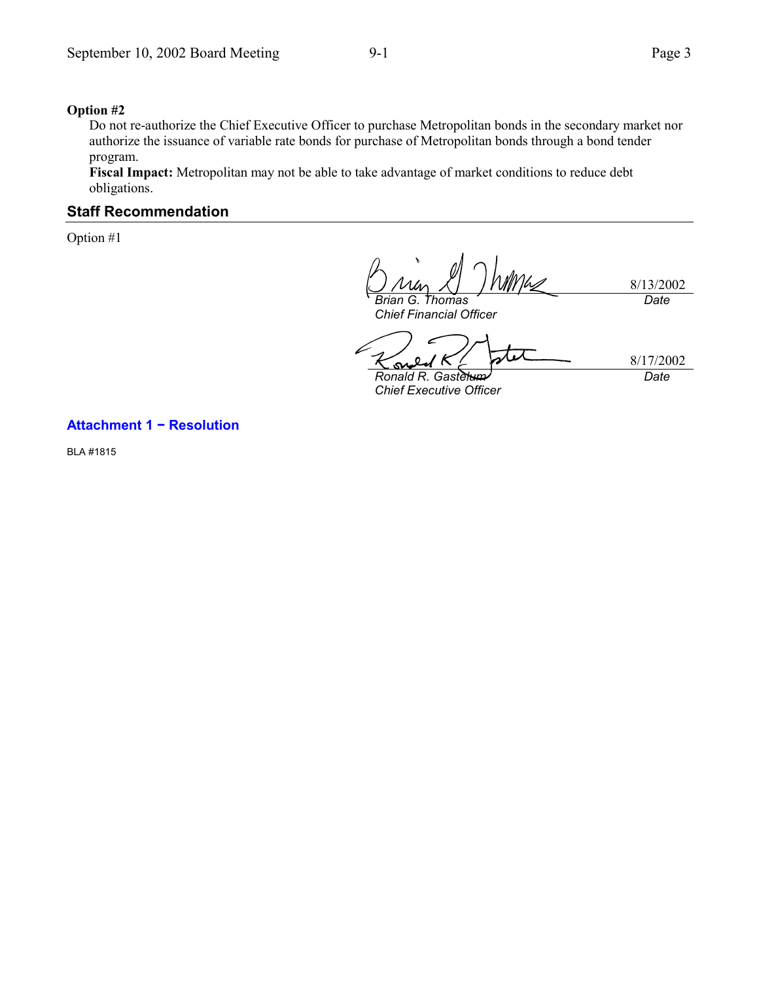#### **Option #2**

Do not re-authorize the Chief Executive Officer to purchase Metropolitan bonds in the secondary market nor authorize the issuance of variable rate bonds for purchase of Metropolitan bonds through a bond tender program.

**Fiscal Impact:** Metropolitan may not be able to take advantage of market conditions to reduce debt obligations.

## **Staff Recommendation**

Option #1

8/13/2002 *Brian G. Thomas*

*Chief Financial Officer*

*Date*

8/17/2002 Ñ۸ *Ronald R. Gastelum*

*Chief Executive Officer*

*Date*

#### **Attachment 1 − Resolution**

BLA #1815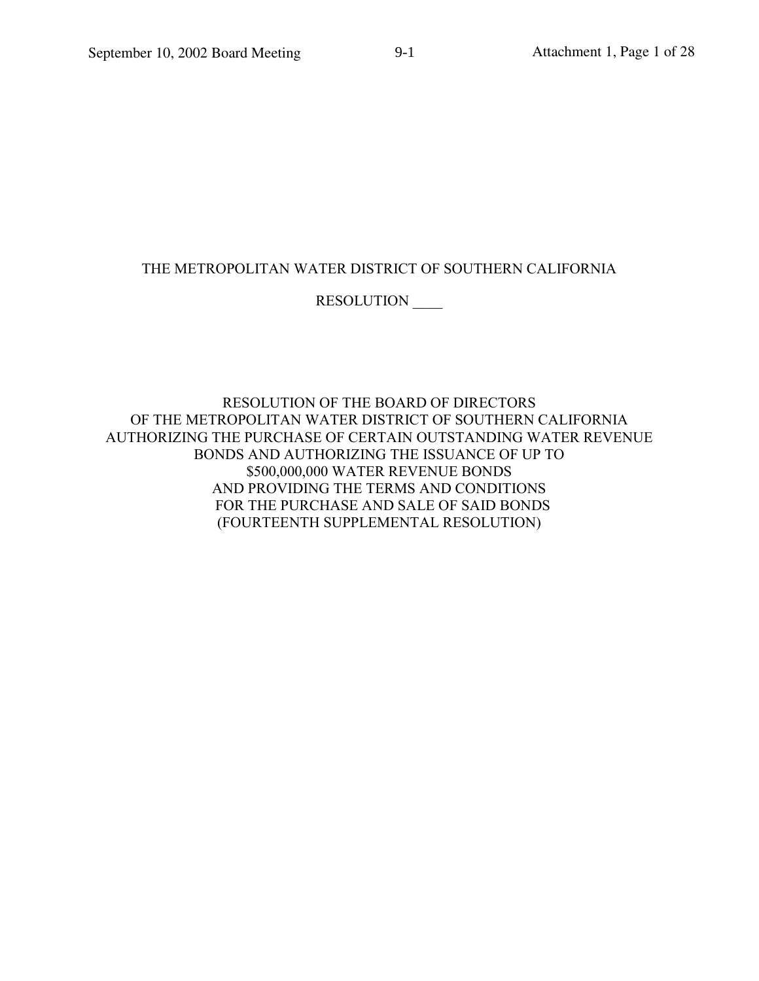## THE METROPOLITAN WATER DISTRICT OF SOUTHERN CALIFORNIA

## RESOLUTION

RESOLUTION OF THE BOARD OF DIRECTORS OF THE METROPOLITAN WATER DISTRICT OF SOUTHERN CALIFORNIA AUTHORIZING THE PURCHASE OF CERTAIN OUTSTANDING WATER REVENUE BONDS AND AUTHORIZING THE ISSUANCE OF UP TO \$500,000,000 WATER REVENUE BONDS AND PROVIDING THE TERMS AND CONDITIONS FOR THE PURCHASE AND SALE OF SAID BONDS (FOURTEENTH SUPPLEMENTAL RESOLUTION)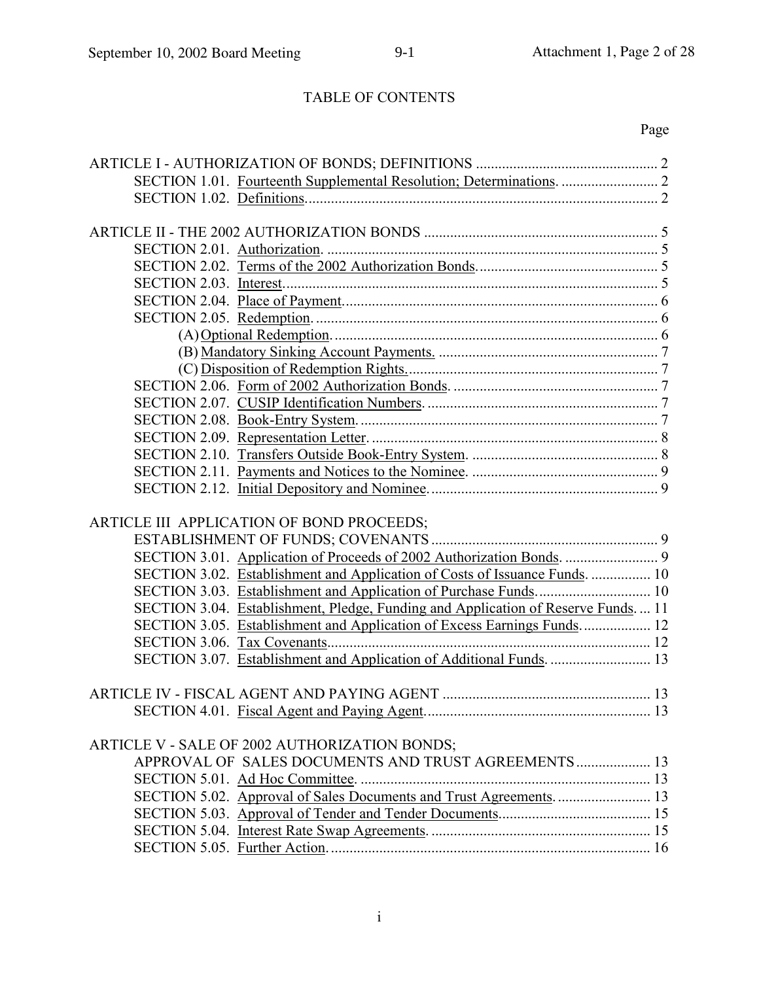# TABLE OF CONTENTS

# Page

|  | ARTICLE III APPLICATION OF BOND PROCEEDS;                                        |  |  |  |  |  |  |
|--|----------------------------------------------------------------------------------|--|--|--|--|--|--|
|  |                                                                                  |  |  |  |  |  |  |
|  |                                                                                  |  |  |  |  |  |  |
|  | SECTION 3.02. Establishment and Application of Costs of Issuance Funds.  10      |  |  |  |  |  |  |
|  |                                                                                  |  |  |  |  |  |  |
|  | SECTION 3.04. Establishment, Pledge, Funding and Application of Reserve Funds 11 |  |  |  |  |  |  |
|  | SECTION 3.05. Establishment and Application of Excess Earnings Funds 12          |  |  |  |  |  |  |
|  |                                                                                  |  |  |  |  |  |  |
|  | SECTION 3.07. Establishment and Application of Additional Funds.  13             |  |  |  |  |  |  |
|  |                                                                                  |  |  |  |  |  |  |
|  |                                                                                  |  |  |  |  |  |  |
|  |                                                                                  |  |  |  |  |  |  |
|  |                                                                                  |  |  |  |  |  |  |
|  | ARTICLE V - SALE OF 2002 AUTHORIZATION BONDS;                                    |  |  |  |  |  |  |
|  | APPROVAL OF SALES DOCUMENTS AND TRUST AGREEMENTS 13                              |  |  |  |  |  |  |
|  |                                                                                  |  |  |  |  |  |  |
|  |                                                                                  |  |  |  |  |  |  |
|  |                                                                                  |  |  |  |  |  |  |
|  |                                                                                  |  |  |  |  |  |  |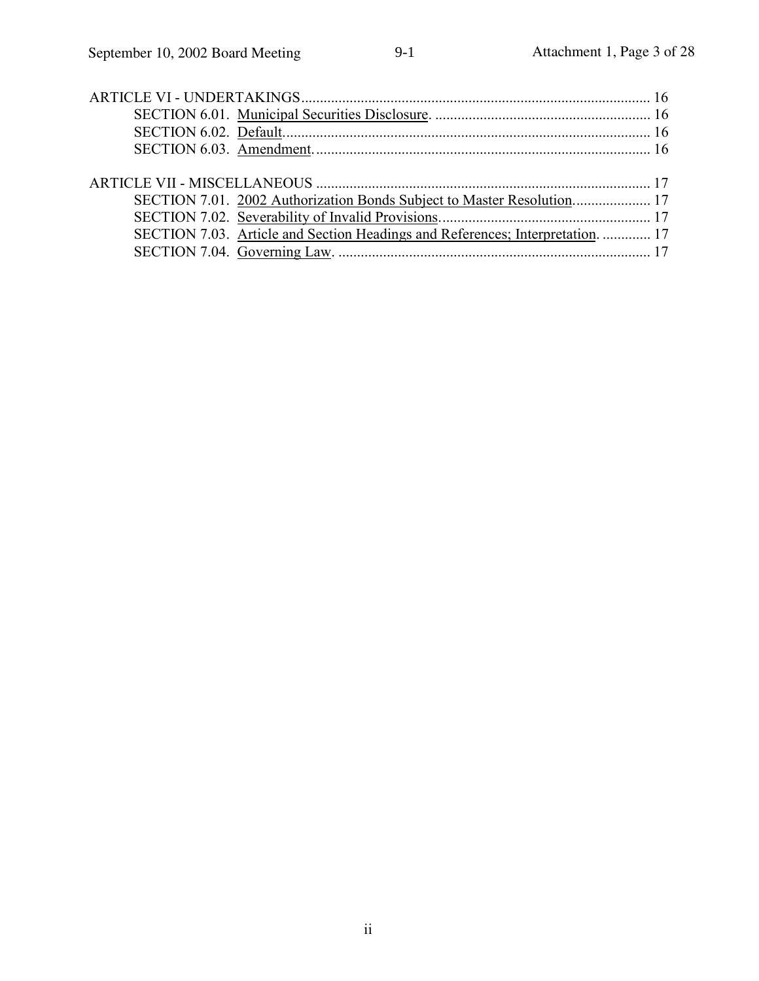| SECTION 7.03. Article and Section Headings and References; Interpretation.  17 |  |
|--------------------------------------------------------------------------------|--|
|                                                                                |  |
|                                                                                |  |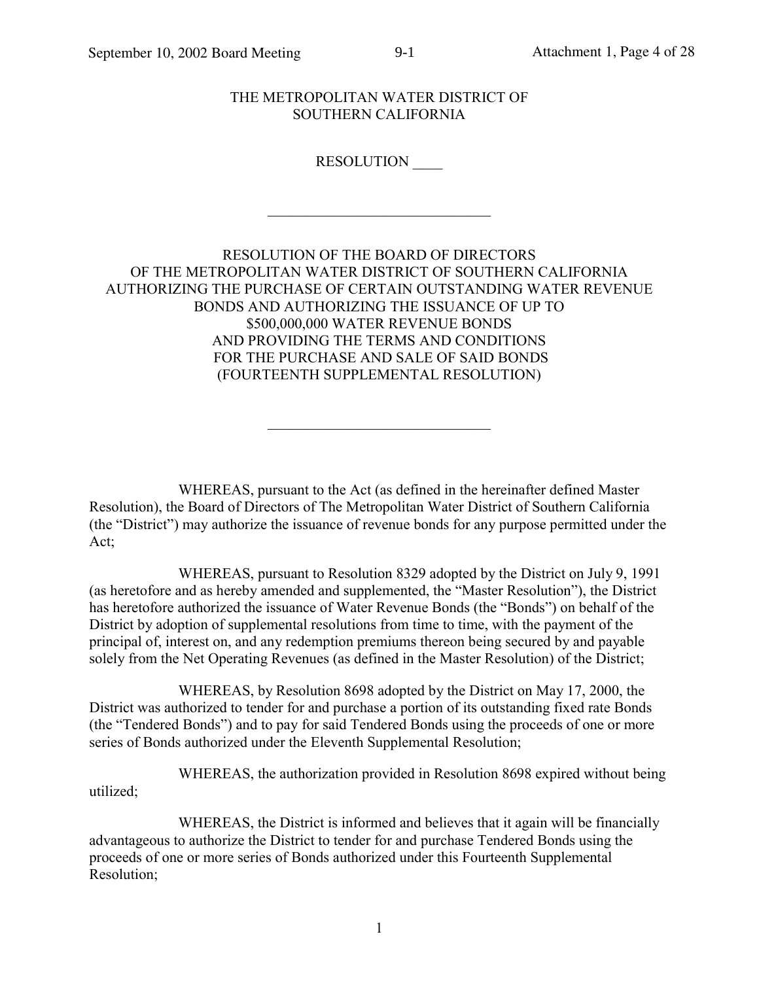## THE METROPOLITAN WATER DISTRICT OF SOUTHERN CALIFORNIA

 $9-1$ 

## RESOLUTION

## RESOLUTION OF THE BOARD OF DIRECTORS OF THE METROPOLITAN WATER DISTRICT OF SOUTHERN CALIFORNIA AUTHORIZING THE PURCHASE OF CERTAIN OUTSTANDING WATER REVENUE BONDS AND AUTHORIZING THE ISSUANCE OF UP TO \$500,000,000 WATER REVENUE BONDS AND PROVIDING THE TERMS AND CONDITIONS FOR THE PURCHASE AND SALE OF SAID BONDS (FOURTEENTH SUPPLEMENTAL RESOLUTION)

WHEREAS, pursuant to the Act (as defined in the hereinafter defined Master Resolution), the Board of Directors of The Metropolitan Water District of Southern California (the "District") may authorize the issuance of revenue bonds for any purpose permitted under the Act:

WHEREAS, pursuant to Resolution 8329 adopted by the District on July 9, 1991 (as heretofore and as hereby amended and supplemented, the "Master Resolution"), the District has heretofore authorized the issuance of Water Revenue Bonds (the "Bonds") on behalf of the District by adoption of supplemental resolutions from time to time, with the payment of the principal of, interest on, and any redemption premiums thereon being secured by and payable solely from the Net Operating Revenues (as defined in the Master Resolution) of the District;

WHEREAS, by Resolution 8698 adopted by the District on May 17, 2000, the District was authorized to tender for and purchase a portion of its outstanding fixed rate Bonds (the "Tendered Bonds") and to pay for said Tendered Bonds using the proceeds of one or more series of Bonds authorized under the Eleventh Supplemental Resolution;

WHEREAS, the authorization provided in Resolution 8698 expired without being utilized;

WHEREAS, the District is informed and believes that it again will be financially advantageous to authorize the District to tender for and purchase Tendered Bonds using the proceeds of one or more series of Bonds authorized under this Fourteenth Supplemental Resolution: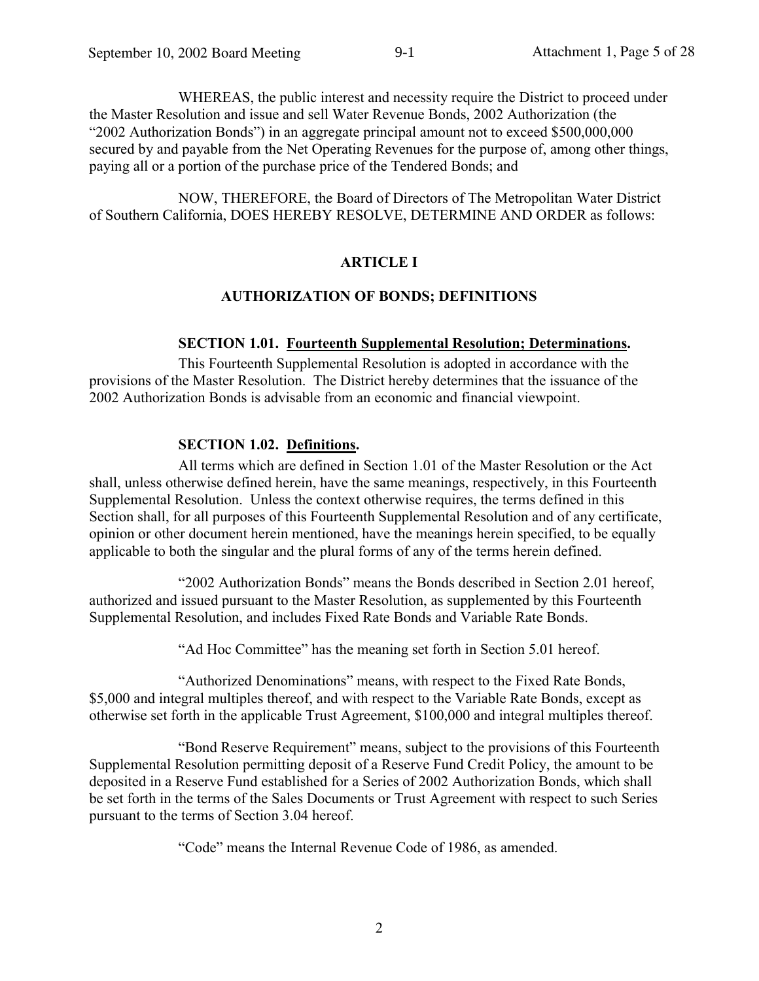WHEREAS, the public interest and necessity require the District to proceed under the Master Resolution and issue and sell Water Revenue Bonds, 2002 Authorization (the "2002 Authorization Bonds") in an aggregate principal amount not to exceed \$500,000,000 secured by and payable from the Net Operating Revenues for the purpose of, among other things, paying all or a portion of the purchase price of the Tendered Bonds; and

NOW, THEREFORE, the Board of Directors of The Metropolitan Water District of Southern California, DOES HEREBY RESOLVE, DETERMINE AND ORDER as follows:

#### **ARTICLE I**

#### **AUTHORIZATION OF BONDS; DEFINITIONS**

#### **SECTION 1.01. Fourteenth Supplemental Resolution; Determinations.**

This Fourteenth Supplemental Resolution is adopted in accordance with the provisions of the Master Resolution. The District hereby determines that the issuance of the 2002 Authorization Bonds is advisable from an economic and financial viewpoint.

## **SECTION 1.02. Definitions.**

All terms which are defined in Section 1.01 of the Master Resolution or the Act shall, unless otherwise defined herein, have the same meanings, respectively, in this Fourteenth Supplemental Resolution. Unless the context otherwise requires, the terms defined in this Section shall, for all purposes of this Fourteenth Supplemental Resolution and of any certificate, opinion or other document herein mentioned, have the meanings herein specified, to be equally applicable to both the singular and the plural forms of any of the terms herein defined.

"2002 Authorization Bonds" means the Bonds described in Section 2.01 hereof, authorized and issued pursuant to the Master Resolution, as supplemented by this Fourteenth Supplemental Resolution, and includes Fixed Rate Bonds and Variable Rate Bonds.

"Ad Hoc Committee" has the meaning set forth in Section 5.01 hereof.

"Authorized Denominations" means, with respect to the Fixed Rate Bonds, \$5,000 and integral multiples thereof, and with respect to the Variable Rate Bonds, except as otherwise set forth in the applicable Trust Agreement, \$100,000 and integral multiples thereof.

"Bond Reserve Requirement" means, subject to the provisions of this Fourteenth Supplemental Resolution permitting deposit of a Reserve Fund Credit Policy, the amount to be deposited in a Reserve Fund established for a Series of 2002 Authorization Bonds, which shall be set forth in the terms of the Sales Documents or Trust Agreement with respect to such Series pursuant to the terms of Section 3.04 hereof.

"Code" means the Internal Revenue Code of 1986, as amended.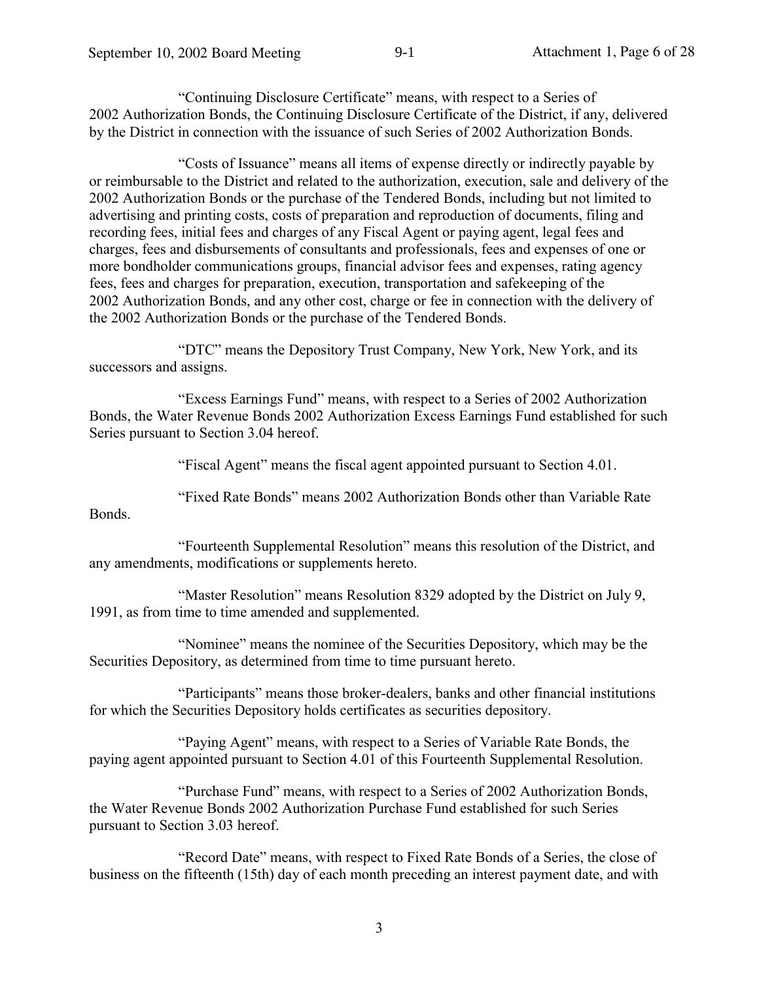"Continuing Disclosure Certificate" means, with respect to a Series of 2002 Authorization Bonds, the Continuing Disclosure Certificate of the District, if any, delivered by the District in connection with the issuance of such Series of 2002 Authorization Bonds.

"Costs of Issuance" means all items of expense directly or indirectly payable by or reimbursable to the District and related to the authorization, execution, sale and delivery of the 2002 Authorization Bonds or the purchase of the Tendered Bonds, including but not limited to advertising and printing costs, costs of preparation and reproduction of documents, filing and recording fees, initial fees and charges of any Fiscal Agent or paying agent, legal fees and charges, fees and disbursements of consultants and professionals, fees and expenses of one or more bondholder communications groups, financial advisor fees and expenses, rating agency fees, fees and charges for preparation, execution, transportation and safekeeping of the 2002 Authorization Bonds, and any other cost, charge or fee in connection with the delivery of the 2002 Authorization Bonds or the purchase of the Tendered Bonds.

"DTC" means the Depository Trust Company, New York, New York, and its successors and assigns.

"Excess Earnings Fund" means, with respect to a Series of 2002 Authorization Bonds, the Water Revenue Bonds 2002 Authorization Excess Earnings Fund established for such Series pursuant to Section 3.04 hereof.

"Fiscal Agent" means the fiscal agent appointed pursuant to Section 4.01.

"Fixed Rate Bonds" means 2002 Authorization Bonds other than Variable Rate **Bonds** 

"Fourteenth Supplemental Resolution" means this resolution of the District, and any amendments, modifications or supplements hereto.

"Master Resolution" means Resolution 8329 adopted by the District on July 9, 1991, as from time to time amended and supplemented.

"Nominee" means the nominee of the Securities Depository, which may be the Securities Depository, as determined from time to time pursuant hereto.

"Participants" means those broker-dealers, banks and other financial institutions for which the Securities Depository holds certificates as securities depository.

"Paying Agent" means, with respect to a Series of Variable Rate Bonds, the paying agent appointed pursuant to Section 4.01 of this Fourteenth Supplemental Resolution.

"Purchase Fund" means, with respect to a Series of 2002 Authorization Bonds, the Water Revenue Bonds 2002 Authorization Purchase Fund established for such Series pursuant to Section 3.03 hereof.

"Record Date" means, with respect to Fixed Rate Bonds of a Series, the close of business on the fifteenth (15th) day of each month preceding an interest payment date, and with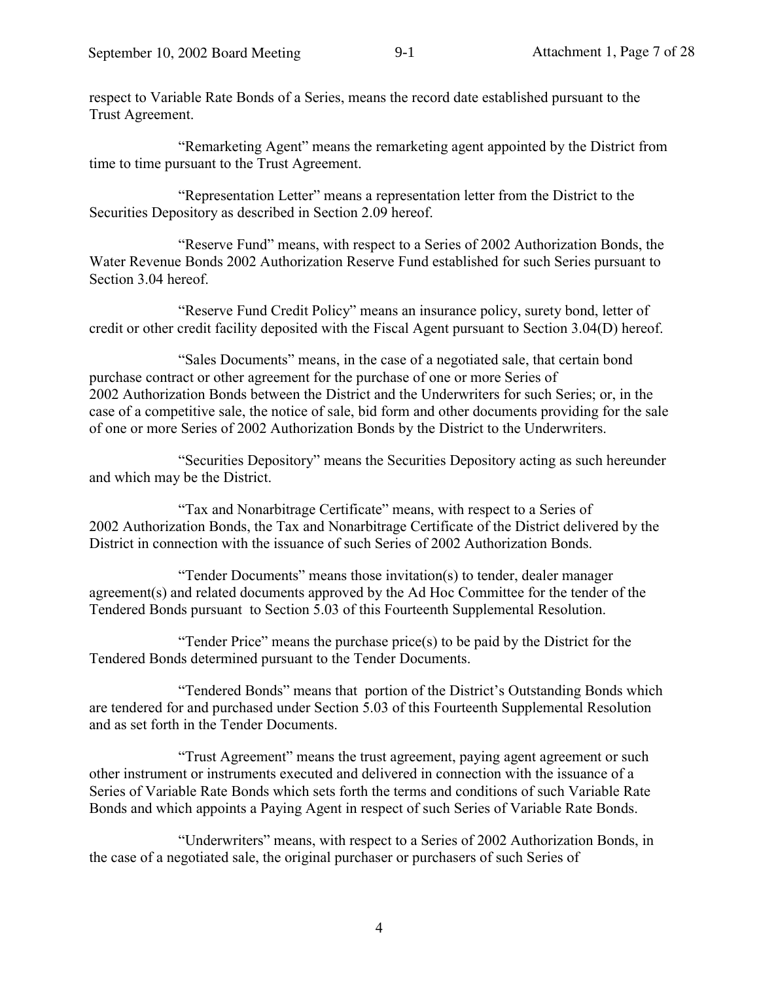respect to Variable Rate Bonds of a Series, means the record date established pursuant to the Trust Agreement.

"Remarketing Agent" means the remarketing agent appointed by the District from time to time pursuant to the Trust Agreement.

"Representation Letter" means a representation letter from the District to the Securities Depository as described in Section 2.09 hereof.

"Reserve Fund" means, with respect to a Series of 2002 Authorization Bonds, the Water Revenue Bonds 2002 Authorization Reserve Fund established for such Series pursuant to Section 3.04 hereof.

"Reserve Fund Credit Policy" means an insurance policy, surety bond, letter of credit or other credit facility deposited with the Fiscal Agent pursuant to Section 3.04(D) hereof.

"Sales Documents" means, in the case of a negotiated sale, that certain bond purchase contract or other agreement for the purchase of one or more Series of 2002 Authorization Bonds between the District and the Underwriters for such Series; or, in the case of a competitive sale, the notice of sale, bid form and other documents providing for the sale of one or more Series of 2002 Authorization Bonds by the District to the Underwriters.

"Securities Depository" means the Securities Depository acting as such hereunder and which may be the District.

"Tax and Nonarbitrage Certificate" means, with respect to a Series of 2002 Authorization Bonds, the Tax and Nonarbitrage Certificate of the District delivered by the District in connection with the issuance of such Series of 2002 Authorization Bonds.

"Tender Documents" means those invitation(s) to tender, dealer manager agreement(s) and related documents approved by the Ad Hoc Committee for the tender of the Tendered Bonds pursuant to Section 5.03 of this Fourteenth Supplemental Resolution.

"Tender Price" means the purchase price(s) to be paid by the District for the Tendered Bonds determined pursuant to the Tender Documents.

"Tendered Bonds" means that portion of the District's Outstanding Bonds which are tendered for and purchased under Section 5.03 of this Fourteenth Supplemental Resolution and as set forth in the Tender Documents.

"Trust Agreement" means the trust agreement, paying agent agreement or such other instrument or instruments executed and delivered in connection with the issuance of a Series of Variable Rate Bonds which sets forth the terms and conditions of such Variable Rate Bonds and which appoints a Paying Agent in respect of such Series of Variable Rate Bonds.

"Underwriters" means, with respect to a Series of 2002 Authorization Bonds, in the case of a negotiated sale, the original purchaser or purchasers of such Series of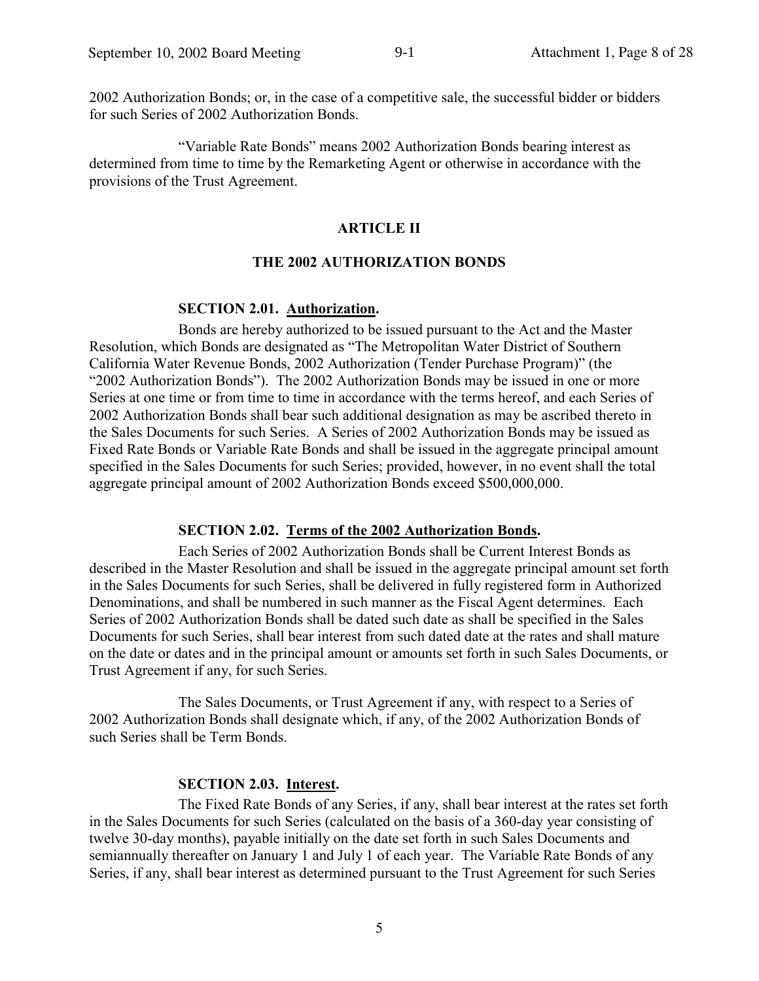2002 Authorization Bonds; or, in the case of a competitive sale, the successful bidder or bidders for such Series of 2002 Authorization Bonds.

"Variable Rate Bonds" means 2002 Authorization Bonds bearing interest as determined from time to time by the Remarketing Agent or otherwise in accordance with the provisions of the Trust Agreement.

#### **ARTICLE II**

#### **THE 2002 AUTHORIZATION BONDS**

#### **SECTION 2.01. Authorization.**

Bonds are hereby authorized to be issued pursuant to the Act and the Master Resolution, which Bonds are designated as "The Metropolitan Water District of Southern California Water Revenue Bonds, 2002 Authorization (Tender Purchase Program)" (the "2002 Authorization Bonds"). The 2002 Authorization Bonds may be issued in one or more Series at one time or from time to time in accordance with the terms hereof, and each Series of 2002 Authorization Bonds shall bear such additional designation as may be ascribed thereto in the Sales Documents for such Series. A Series of 2002 Authorization Bonds may be issued as Fixed Rate Bonds or Variable Rate Bonds and shall be issued in the aggregate principal amount specified in the Sales Documents for such Series; provided, however, in no event shall the total aggregate principal amount of 2002 Authorization Bonds exceed \$500,000,000.

#### SECTION 2.02. Terms of the 2002 Authorization Bonds.

Each Series of 2002 Authorization Bonds shall be Current Interest Bonds as described in the Master Resolution and shall be issued in the aggregate principal amount set forth in the Sales Documents for such Series, shall be delivered in fully registered form in Authorized Denominations, and shall be numbered in such manner as the Fiscal Agent determines. Each Series of 2002 Authorization Bonds shall be dated such date as shall be specified in the Sales Documents for such Series, shall bear interest from such dated date at the rates and shall mature on the date or dates and in the principal amount or amounts set forth in such Sales Documents, or Trust Agreement if any, for such Series.

The Sales Documents, or Trust Agreement if any, with respect to a Series of 2002 Authorization Bonds shall designate which, if any, of the 2002 Authorization Bonds of such Series shall be Term Bonds.

#### **SECTION 2.03. Interest.**

The Fixed Rate Bonds of any Series, if any, shall bear interest at the rates set forth in the Sales Documents for such Series (calculated on the basis of a 360-day year consisting of twelve 30-day months), payable initially on the date set forth in such Sales Documents and semiannually thereafter on January 1 and July 1 of each year. The Variable Rate Bonds of any Series, if any, shall bear interest as determined pursuant to the Trust Agreement for such Series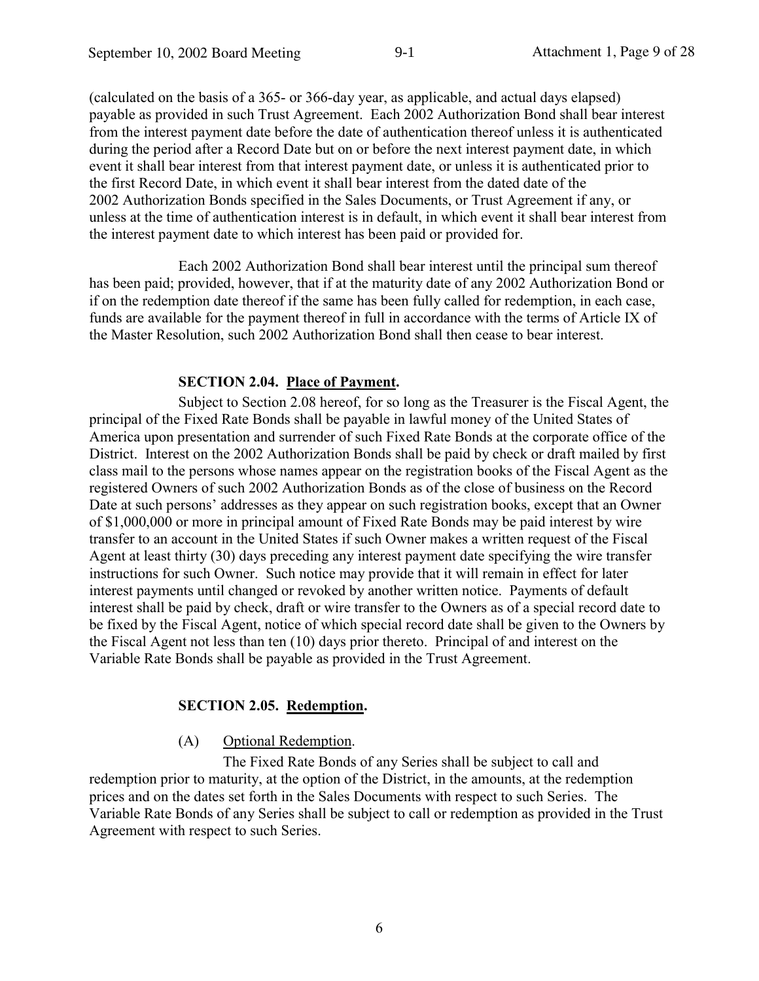(calculated on the basis of a 365- or 366-day year, as applicable, and actual days elapsed) payable as provided in such Trust Agreement. Each 2002 Authorization Bond shall bear interest from the interest payment date before the date of authentication thereof unless it is authenticated during the period after a Record Date but on or before the next interest payment date, in which event it shall bear interest from that interest payment date, or unless it is authenticated prior to the first Record Date, in which event it shall bear interest from the dated date of the 2002 Authorization Bonds specified in the Sales Documents, or Trust Agreement if any, or unless at the time of authentication interest is in default, in which event it shall bear interest from the interest payment date to which interest has been paid or provided for.

Each 2002 Authorization Bond shall bear interest until the principal sum thereof has been paid; provided, however, that if at the maturity date of any 2002 Authorization Bond or if on the redemption date thereof if the same has been fully called for redemption, in each case, funds are available for the payment thereof in full in accordance with the terms of Article IX of the Master Resolution, such 2002 Authorization Bond shall then cease to bear interest.

## **SECTION 2.04. Place of Payment.**

Subject to Section 2.08 hereof, for so long as the Treasurer is the Fiscal Agent, the principal of the Fixed Rate Bonds shall be payable in lawful money of the United States of America upon presentation and surrender of such Fixed Rate Bonds at the corporate office of the District. Interest on the 2002 Authorization Bonds shall be paid by check or draft mailed by first class mail to the persons whose names appear on the registration books of the Fiscal Agent as the registered Owners of such 2002 Authorization Bonds as of the close of business on the Record Date at such persons' addresses as they appear on such registration books, except that an Owner of \$1,000,000 or more in principal amount of Fixed Rate Bonds may be paid interest by wire transfer to an account in the United States if such Owner makes a written request of the Fiscal Agent at least thirty (30) days preceding any interest payment date specifying the wire transfer instructions for such Owner. Such notice may provide that it will remain in effect for later interest payments until changed or revoked by another written notice. Payments of default interest shall be paid by check, draft or wire transfer to the Owners as of a special record date to be fixed by the Fiscal Agent, notice of which special record date shall be given to the Owners by the Fiscal Agent not less than ten (10) days prior thereto. Principal of and interest on the Variable Rate Bonds shall be payable as provided in the Trust Agreement.

## **SECTION 2.05. Redemption.**

#### $(A)$ Optional Redemption.

The Fixed Rate Bonds of any Series shall be subject to call and redemption prior to maturity, at the option of the District, in the amounts, at the redemption prices and on the dates set forth in the Sales Documents with respect to such Series. The Variable Rate Bonds of any Series shall be subject to call or redemption as provided in the Trust Agreement with respect to such Series.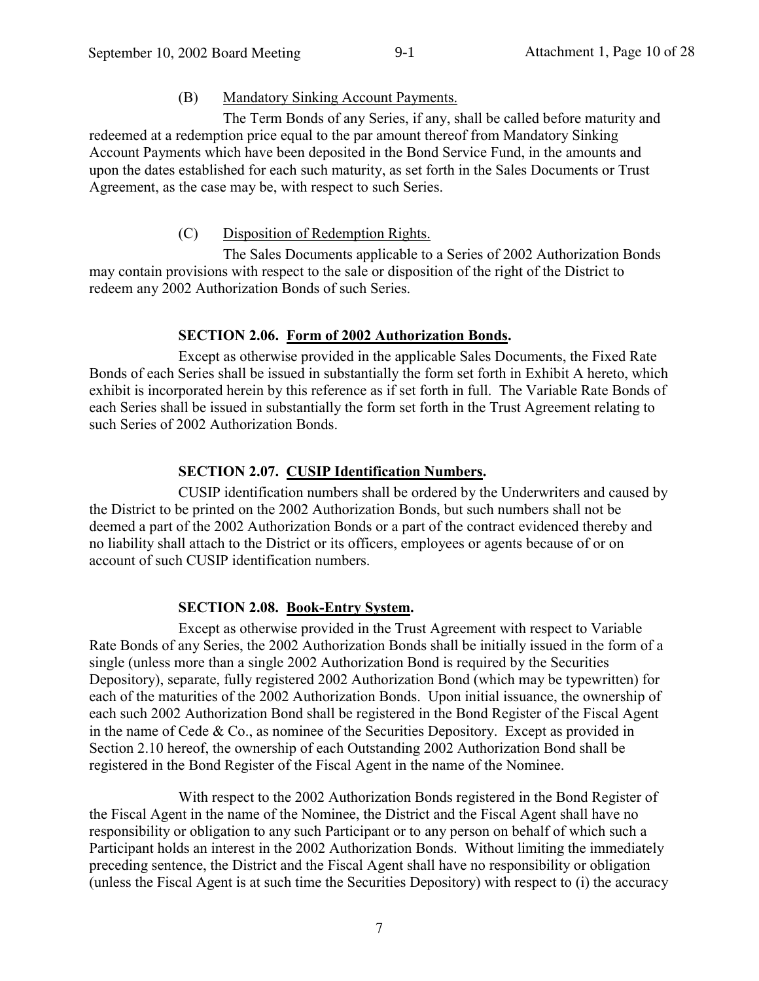#### **Mandatory Sinking Account Payments.** (B)

The Term Bonds of any Series, if any, shall be called before maturity and redeemed at a redemption price equal to the par amount thereof from Mandatory Sinking Account Payments which have been deposited in the Bond Service Fund, in the amounts and upon the dates established for each such maturity, as set forth in the Sales Documents or Trust Agreement, as the case may be, with respect to such Series.

#### Disposition of Redemption Rights.  $(C)$

The Sales Documents applicable to a Series of 2002 Authorization Bonds may contain provisions with respect to the sale or disposition of the right of the District to redeem any 2002 Authorization Bonds of such Series.

## SECTION 2.06. Form of 2002 Authorization Bonds.

Except as otherwise provided in the applicable Sales Documents, the Fixed Rate Bonds of each Series shall be issued in substantially the form set forth in Exhibit A hereto, which exhibit is incorporated herein by this reference as if set forth in full. The Variable Rate Bonds of each Series shall be issued in substantially the form set forth in the Trust Agreement relating to such Series of 2002 Authorization Bonds.

## **SECTION 2.07. CUSIP Identification Numbers.**

CUSIP identification numbers shall be ordered by the Underwriters and caused by the District to be printed on the 2002 Authorization Bonds, but such numbers shall not be deemed a part of the 2002 Authorization Bonds or a part of the contract evidenced thereby and no liability shall attach to the District or its officers, employees or agents because of or on account of such CUSIP identification numbers.

## **SECTION 2.08. Book-Entry System.**

Except as otherwise provided in the Trust Agreement with respect to Variable Rate Bonds of any Series, the 2002 Authorization Bonds shall be initially issued in the form of a single (unless more than a single 2002 Authorization Bond is required by the Securities Depository), separate, fully registered 2002 Authorization Bond (which may be typewritten) for each of the maturities of the 2002 Authorization Bonds. Upon initial issuance, the ownership of each such 2002 Authorization Bond shall be registered in the Bond Register of the Fiscal Agent in the name of Cede  $& Co.,$  as nominee of the Securities Depository. Except as provided in Section 2.10 hereof, the ownership of each Outstanding 2002 Authorization Bond shall be registered in the Bond Register of the Fiscal Agent in the name of the Nominee.

With respect to the 2002 Authorization Bonds registered in the Bond Register of the Fiscal Agent in the name of the Nominee, the District and the Fiscal Agent shall have no responsibility or obligation to any such Participant or to any person on behalf of which such a Participant holds an interest in the 2002 Authorization Bonds. Without limiting the immediately preceding sentence, the District and the Fiscal Agent shall have no responsibility or obligation (unless the Fiscal Agent is at such time the Securities Depository) with respect to (i) the accuracy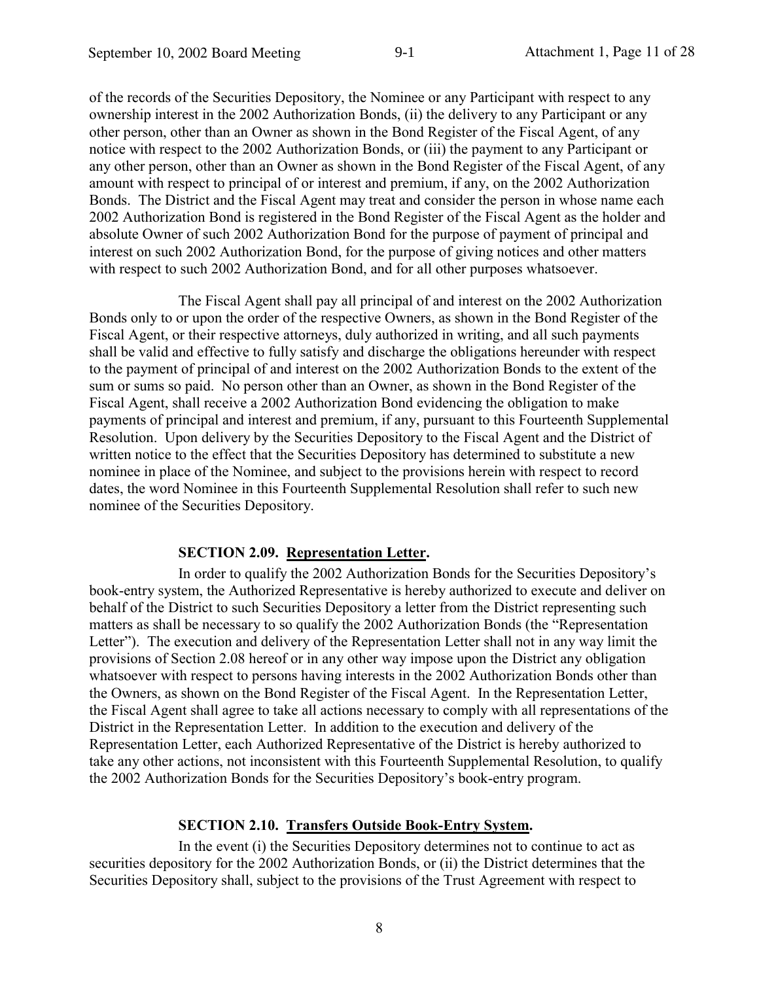of the records of the Securities Depository, the Nominee or any Participant with respect to any ownership interest in the 2002 Authorization Bonds, (ii) the delivery to any Participant or any other person, other than an Owner as shown in the Bond Register of the Fiscal Agent, of any notice with respect to the 2002 Authorization Bonds, or (iii) the payment to any Participant or any other person, other than an Owner as shown in the Bond Register of the Fiscal Agent, of any amount with respect to principal of or interest and premium, if any, on the 2002 Authorization Bonds. The District and the Fiscal Agent may treat and consider the person in whose name each 2002 Authorization Bond is registered in the Bond Register of the Fiscal Agent as the holder and absolute Owner of such 2002 Authorization Bond for the purpose of payment of principal and interest on such 2002 Authorization Bond, for the purpose of giving notices and other matters with respect to such 2002 Authorization Bond, and for all other purposes whatsoever.

The Fiscal Agent shall pay all principal of and interest on the 2002 Authorization Bonds only to or upon the order of the respective Owners, as shown in the Bond Register of the Fiscal Agent, or their respective attorneys, duly authorized in writing, and all such payments shall be valid and effective to fully satisfy and discharge the obligations hereunder with respect to the payment of principal of and interest on the 2002 Authorization Bonds to the extent of the sum or sums so paid. No person other than an Owner, as shown in the Bond Register of the Fiscal Agent, shall receive a 2002 Authorization Bond evidencing the obligation to make payments of principal and interest and premium, if any, pursuant to this Fourteenth Supplemental Resolution. Upon delivery by the Securities Depository to the Fiscal Agent and the District of written notice to the effect that the Securities Depository has determined to substitute a new nominee in place of the Nominee, and subject to the provisions herein with respect to record dates, the word Nominee in this Fourteenth Supplemental Resolution shall refer to such new nominee of the Securities Depository.

#### **SECTION 2.09. Representation Letter.**

In order to qualify the 2002 Authorization Bonds for the Securities Depository's book-entry system, the Authorized Representative is hereby authorized to execute and deliver on behalf of the District to such Securities Depository a letter from the District representing such matters as shall be necessary to so qualify the 2002 Authorization Bonds (the "Representation" Letter"). The execution and delivery of the Representation Letter shall not in any way limit the provisions of Section 2.08 hereof or in any other way impose upon the District any obligation whatsoever with respect to persons having interests in the 2002 Authorization Bonds other than the Owners, as shown on the Bond Register of the Fiscal Agent. In the Representation Letter, the Fiscal Agent shall agree to take all actions necessary to comply with all representations of the District in the Representation Letter. In addition to the execution and delivery of the Representation Letter, each Authorized Representative of the District is hereby authorized to take any other actions, not inconsistent with this Fourteenth Supplemental Resolution, to qualify the 2002 Authorization Bonds for the Securities Depository's book-entry program.

#### **SECTION 2.10. Transfers Outside Book-Entry System.**

In the event (i) the Securities Depository determines not to continue to act as securities depository for the 2002 Authorization Bonds, or (ii) the District determines that the Securities Depository shall, subject to the provisions of the Trust Agreement with respect to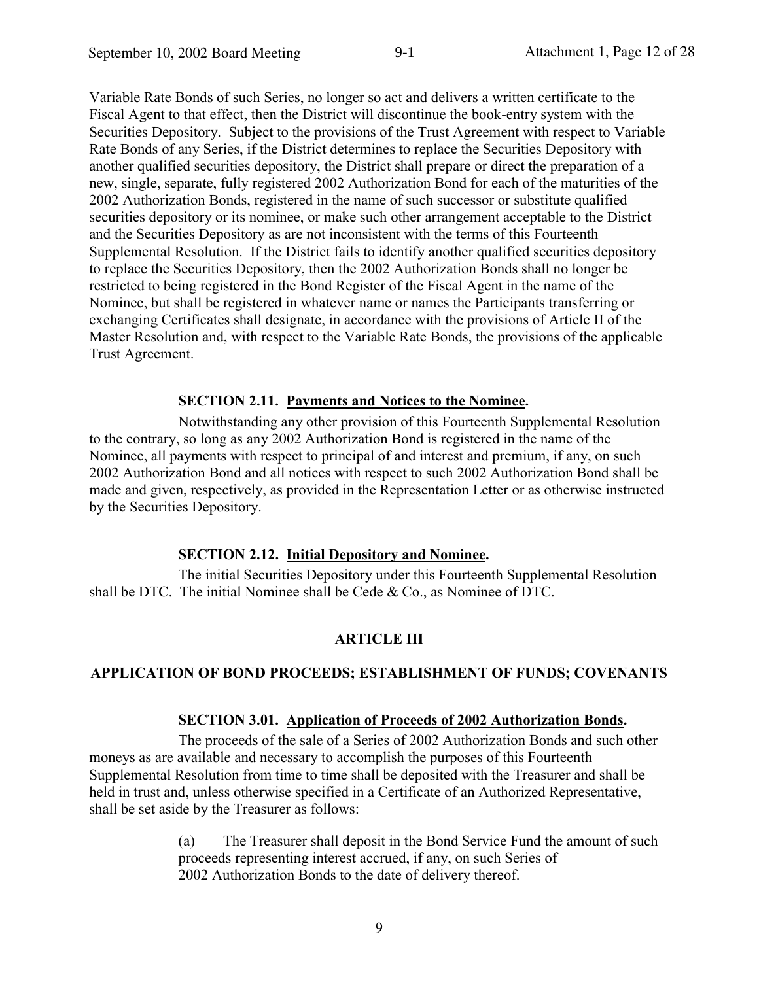Variable Rate Bonds of such Series, no longer so act and delivers a written certificate to the Fiscal Agent to that effect, then the District will discontinue the book-entry system with the Securities Depository. Subject to the provisions of the Trust Agreement with respect to Variable Rate Bonds of any Series, if the District determines to replace the Securities Depository with another qualified securities depository, the District shall prepare or direct the preparation of a new, single, separate, fully registered 2002 Authorization Bond for each of the maturities of the 2002 Authorization Bonds, registered in the name of such successor or substitute qualified securities depository or its nominee, or make such other arrangement acceptable to the District and the Securities Depository as are not inconsistent with the terms of this Fourteenth Supplemental Resolution. If the District fails to identify another qualified securities depository to replace the Securities Depository, then the 2002 Authorization Bonds shall no longer be restricted to being registered in the Bond Register of the Fiscal Agent in the name of the Nominee, but shall be registered in whatever name or names the Participants transferring or exchanging Certificates shall designate, in accordance with the provisions of Article II of the Master Resolution and, with respect to the Variable Rate Bonds, the provisions of the applicable Trust Agreement.

#### **SECTION 2.11. Payments and Notices to the Nominee.**

Notwithstanding any other provision of this Fourteenth Supplemental Resolution to the contrary, so long as any 2002 Authorization Bond is registered in the name of the Nominee, all payments with respect to principal of and interest and premium, if any, on such 2002 Authorization Bond and all notices with respect to such 2002 Authorization Bond shall be made and given, respectively, as provided in the Representation Letter or as otherwise instructed by the Securities Depository.

## **SECTION 2.12. Initial Depository and Nominee.**

The initial Securities Depository under this Fourteenth Supplemental Resolution shall be DTC. The initial Nominee shall be Cede & Co., as Nominee of DTC.

### **ARTICLE III**

### APPLICATION OF BOND PROCEEDS; ESTABLISHMENT OF FUNDS; COVENANTS

#### **SECTION 3.01. Application of Proceeds of 2002 Authorization Bonds.**

The proceeds of the sale of a Series of 2002 Authorization Bonds and such other moneys as are available and necessary to accomplish the purposes of this Fourteenth Supplemental Resolution from time to time shall be deposited with the Treasurer and shall be held in trust and, unless otherwise specified in a Certificate of an Authorized Representative. shall be set aside by the Treasurer as follows:

> $(a)$ The Treasurer shall deposit in the Bond Service Fund the amount of such proceeds representing interest accrued, if any, on such Series of 2002 Authorization Bonds to the date of delivery thereof.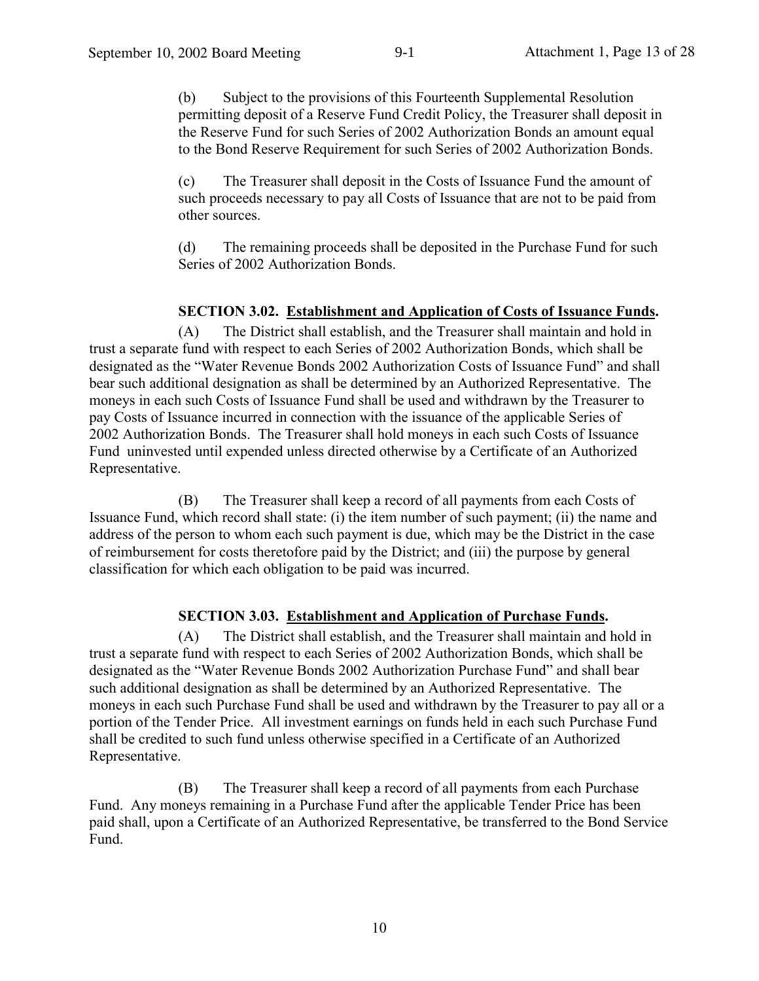(b) Subject to the provisions of this Fourteenth Supplemental Resolution permitting deposit of a Reserve Fund Credit Policy, the Treasurer shall deposit in the Reserve Fund for such Series of 2002 Authorization Bonds an amount equal to the Bond Reserve Requirement for such Series of 2002 Authorization Bonds.

The Treasurer shall deposit in the Costs of Issuance Fund the amount of  $(c)$ such proceeds necessary to pay all Costs of Issuance that are not to be paid from other sources.

 $(d)$ The remaining proceeds shall be deposited in the Purchase Fund for such Series of 2002 Authorization Bonds.

## **SECTION 3.02. Establishment and Application of Costs of Issuance Funds.**

The District shall establish, and the Treasurer shall maintain and hold in  $(A)$ trust a separate fund with respect to each Series of 2002 Authorization Bonds, which shall be designated as the "Water Revenue Bonds 2002 Authorization Costs of Issuance Fund" and shall bear such additional designation as shall be determined by an Authorized Representative. The moneys in each such Costs of Issuance Fund shall be used and withdrawn by the Treasurer to pay Costs of Issuance incurred in connection with the issuance of the applicable Series of 2002 Authorization Bonds. The Treasurer shall hold moneys in each such Costs of Issuance Fund uninvested until expended unless directed otherwise by a Certificate of an Authorized Representative.

The Treasurer shall keep a record of all payments from each Costs of (B) Issuance Fund, which record shall state: (i) the item number of such payment; (ii) the name and address of the person to whom each such payment is due, which may be the District in the case of reimbursement for costs theretofore paid by the District; and (iii) the purpose by general classification for which each obligation to be paid was incurred.

## **SECTION 3.03. Establishment and Application of Purchase Funds.**

The District shall establish, and the Treasurer shall maintain and hold in  $(A)$ trust a separate fund with respect to each Series of 2002 Authorization Bonds, which shall be designated as the "Water Revenue Bonds 2002 Authorization Purchase Fund" and shall bear such additional designation as shall be determined by an Authorized Representative. The moneys in each such Purchase Fund shall be used and withdrawn by the Treasurer to pay all or a portion of the Tender Price. All investment earnings on funds held in each such Purchase Fund shall be credited to such fund unless otherwise specified in a Certificate of an Authorized Representative.

The Treasurer shall keep a record of all payments from each Purchase (B) Fund. Any moneys remaining in a Purchase Fund after the applicable Tender Price has been paid shall, upon a Certificate of an Authorized Representative, be transferred to the Bond Service Fund.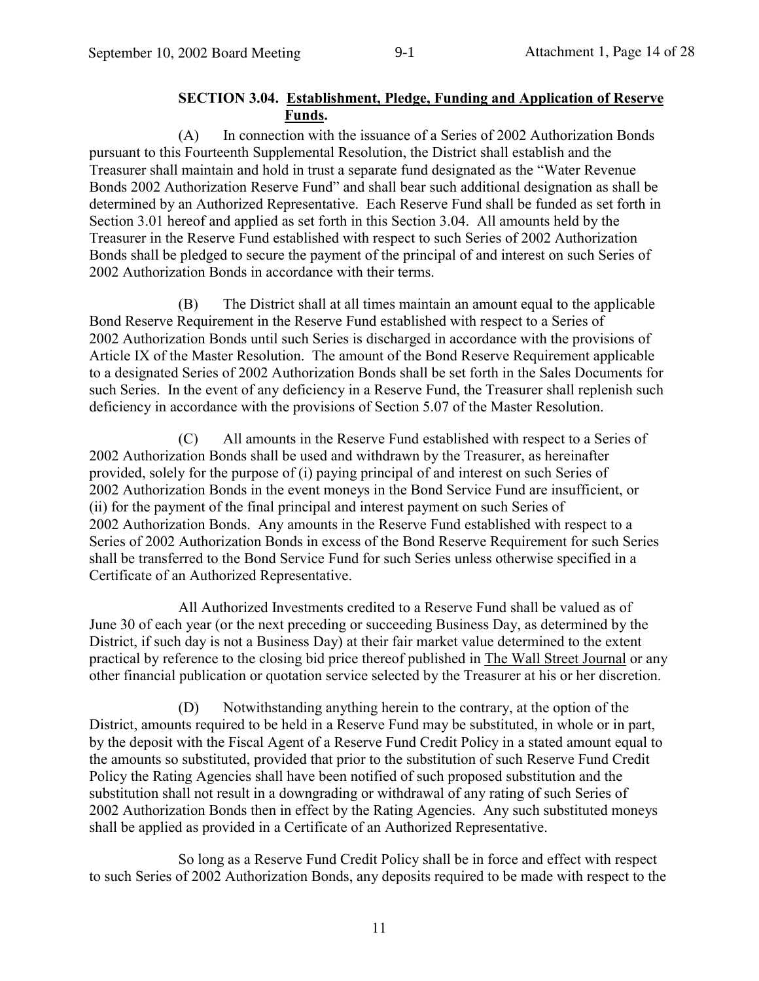## **SECTION 3.04. Establishment, Pledge, Funding and Application of Reserve** Funds.

 $(A)$ In connection with the issuance of a Series of 2002 Authorization Bonds pursuant to this Fourteenth Supplemental Resolution, the District shall establish and the Treasurer shall maintain and hold in trust a separate fund designated as the "Water Revenue Bonds 2002 Authorization Reserve Fund" and shall bear such additional designation as shall be determined by an Authorized Representative. Each Reserve Fund shall be funded as set forth in Section 3.01 hereof and applied as set forth in this Section 3.04. All amounts held by the Treasurer in the Reserve Fund established with respect to such Series of 2002 Authorization Bonds shall be pledged to secure the payment of the principal of and interest on such Series of 2002 Authorization Bonds in accordance with their terms.

The District shall at all times maintain an amount equal to the applicable (B) Bond Reserve Requirement in the Reserve Fund established with respect to a Series of 2002 Authorization Bonds until such Series is discharged in accordance with the provisions of Article IX of the Master Resolution. The amount of the Bond Reserve Requirement applicable to a designated Series of 2002 Authorization Bonds shall be set forth in the Sales Documents for such Series. In the event of any deficiency in a Reserve Fund, the Treasurer shall replenish such deficiency in accordance with the provisions of Section 5.07 of the Master Resolution.

All amounts in the Reserve Fund established with respect to a Series of  $(C)$ 2002 Authorization Bonds shall be used and withdrawn by the Treasurer, as hereinafter provided, solely for the purpose of (i) paying principal of and interest on such Series of 2002 Authorization Bonds in the event moneys in the Bond Service Fund are insufficient, or (ii) for the payment of the final principal and interest payment on such Series of 2002 Authorization Bonds. Any amounts in the Reserve Fund established with respect to a Series of 2002 Authorization Bonds in excess of the Bond Reserve Requirement for such Series shall be transferred to the Bond Service Fund for such Series unless otherwise specified in a Certificate of an Authorized Representative.

All Authorized Investments credited to a Reserve Fund shall be valued as of June 30 of each year (or the next preceding or succeeding Business Day, as determined by the District, if such day is not a Business Day) at their fair market value determined to the extent practical by reference to the closing bid price thereof published in The Wall Street Journal or any other financial publication or quotation service selected by the Treasurer at his or her discretion.

(D) Notwithstanding anything herein to the contrary, at the option of the District, amounts required to be held in a Reserve Fund may be substituted, in whole or in part, by the deposit with the Fiscal Agent of a Reserve Fund Credit Policy in a stated amount equal to the amounts so substituted, provided that prior to the substitution of such Reserve Fund Credit Policy the Rating Agencies shall have been notified of such proposed substitution and the substitution shall not result in a downgrading or withdrawal of any rating of such Series of 2002 Authorization Bonds then in effect by the Rating Agencies. Any such substituted moneys shall be applied as provided in a Certificate of an Authorized Representative.

So long as a Reserve Fund Credit Policy shall be in force and effect with respect to such Series of 2002 Authorization Bonds, any deposits required to be made with respect to the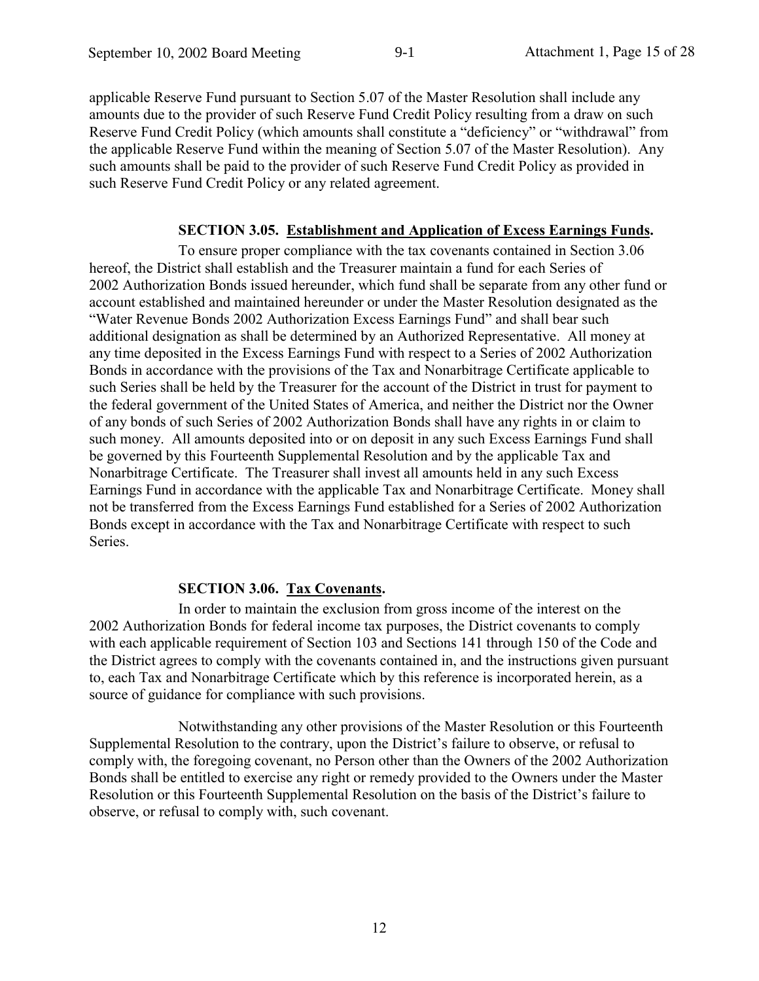applicable Reserve Fund pursuant to Section 5.07 of the Master Resolution shall include any amounts due to the provider of such Reserve Fund Credit Policy resulting from a draw on such Reserve Fund Credit Policy (which amounts shall constitute a "deficiency" or "withdrawal" from the applicable Reserve Fund within the meaning of Section 5.07 of the Master Resolution). Any such amounts shall be paid to the provider of such Reserve Fund Credit Policy as provided in such Reserve Fund Credit Policy or any related agreement.

## **SECTION 3.05. Establishment and Application of Excess Earnings Funds.**

To ensure proper compliance with the tax covenants contained in Section 3.06 hereof, the District shall establish and the Treasurer maintain a fund for each Series of 2002 Authorization Bonds issued hereunder, which fund shall be separate from any other fund or account established and maintained hereunder or under the Master Resolution designated as the "Water Revenue Bonds 2002 Authorization Excess Earnings Fund" and shall bear such additional designation as shall be determined by an Authorized Representative. All money at any time deposited in the Excess Earnings Fund with respect to a Series of 2002 Authorization Bonds in accordance with the provisions of the Tax and Nonarbitrage Certificate applicable to such Series shall be held by the Treasurer for the account of the District in trust for payment to the federal government of the United States of America, and neither the District nor the Owner of any bonds of such Series of 2002 Authorization Bonds shall have any rights in or claim to such money. All amounts deposited into or on deposit in any such Excess Earnings Fund shall be governed by this Fourteenth Supplemental Resolution and by the applicable Tax and Nonarbitrage Certificate. The Treasurer shall invest all amounts held in any such Excess Earnings Fund in accordance with the applicable Tax and Nonarbitrage Certificate. Money shall not be transferred from the Excess Earnings Fund established for a Series of 2002 Authorization Bonds except in accordance with the Tax and Nonarbitrage Certificate with respect to such Series.

## **SECTION 3.06. Tax Covenants.**

In order to maintain the exclusion from gross income of the interest on the 2002 Authorization Bonds for federal income tax purposes, the District covenants to comply with each applicable requirement of Section 103 and Sections 141 through 150 of the Code and the District agrees to comply with the covenants contained in, and the instructions given pursuant to, each Tax and Nonarbitrage Certificate which by this reference is incorporated herein, as a source of guidance for compliance with such provisions.

Notwithstanding any other provisions of the Master Resolution or this Fourteenth Supplemental Resolution to the contrary, upon the District's failure to observe, or refusal to comply with, the foregoing covenant, no Person other than the Owners of the 2002 Authorization Bonds shall be entitled to exercise any right or remedy provided to the Owners under the Master Resolution or this Fourteenth Supplemental Resolution on the basis of the District's failure to observe, or refusal to comply with, such covenant.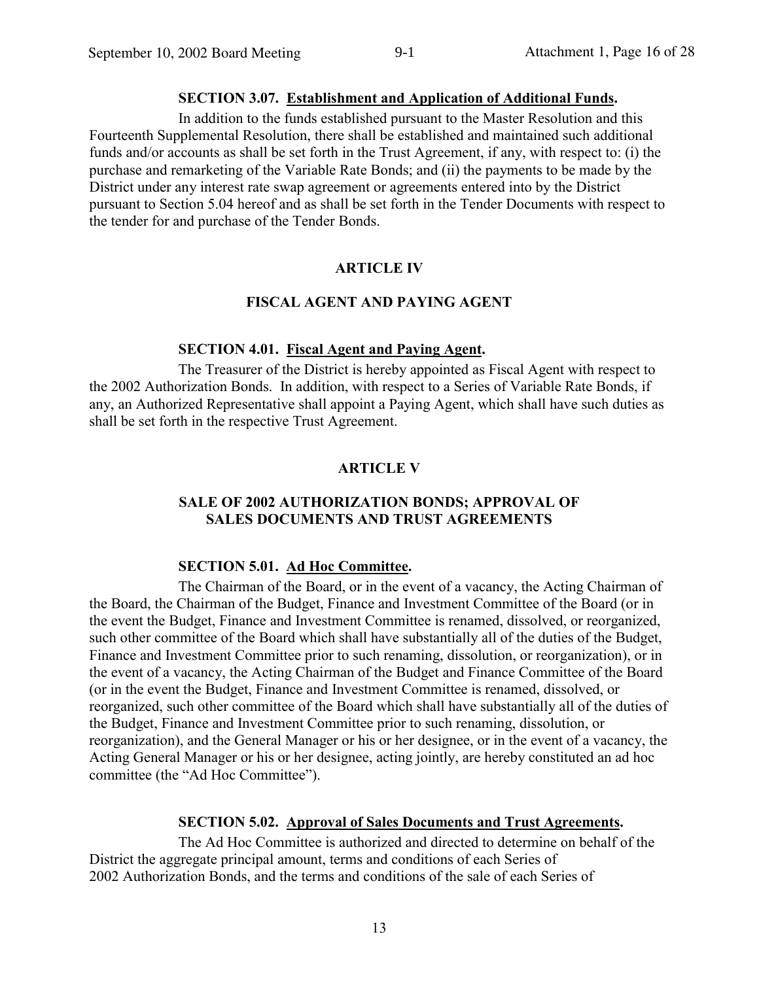## **SECTION 3.07. Establishment and Application of Additional Funds.**

In addition to the funds established pursuant to the Master Resolution and this Fourteenth Supplemental Resolution, there shall be established and maintained such additional funds and/or accounts as shall be set forth in the Trust Agreement, if any, with respect to: (i) the purchase and remarketing of the Variable Rate Bonds; and (ii) the payments to be made by the District under any interest rate swap agreement or agreements entered into by the District pursuant to Section 5.04 hereof and as shall be set forth in the Tender Documents with respect to the tender for and purchase of the Tender Bonds.

## **ARTICLE IV**

## **FISCAL AGENT AND PAYING AGENT**

## **SECTION 4.01. Fiscal Agent and Paying Agent.**

The Treasurer of the District is hereby appointed as Fiscal Agent with respect to the 2002 Authorization Bonds. In addition, with respect to a Series of Variable Rate Bonds, if any, an Authorized Representative shall appoint a Paying Agent, which shall have such duties as shall be set forth in the respective Trust Agreement.

## **ARTICLE V**

### **SALE OF 2002 AUTHORIZATION BONDS; APPROVAL OF SALES DOCUMENTS AND TRUST AGREEMENTS**

## SECTION 5.01. Ad Hoc Committee.

The Chairman of the Board, or in the event of a vacancy, the Acting Chairman of the Board, the Chairman of the Budget, Finance and Investment Committee of the Board (or in the event the Budget, Finance and Investment Committee is renamed, dissolved, or reorganized, such other committee of the Board which shall have substantially all of the duties of the Budget, Finance and Investment Committee prior to such renaming, dissolution, or reorganization), or in the event of a vacancy, the Acting Chairman of the Budget and Finance Committee of the Board (or in the event the Budget, Finance and Investment Committee is renamed, dissolved, or reorganized, such other committee of the Board which shall have substantially all of the duties of the Budget, Finance and Investment Committee prior to such renaming, dissolution, or reorganization), and the General Manager or his or her designee, or in the event of a vacancy, the Acting General Manager or his or her designee, acting jointly, are hereby constituted an ad hoc committee (the "Ad Hoc Committee").

### **SECTION 5.02. Approval of Sales Documents and Trust Agreements.**

The Ad Hoc Committee is authorized and directed to determine on behalf of the District the aggregate principal amount, terms and conditions of each Series of 2002 Authorization Bonds, and the terms and conditions of the sale of each Series of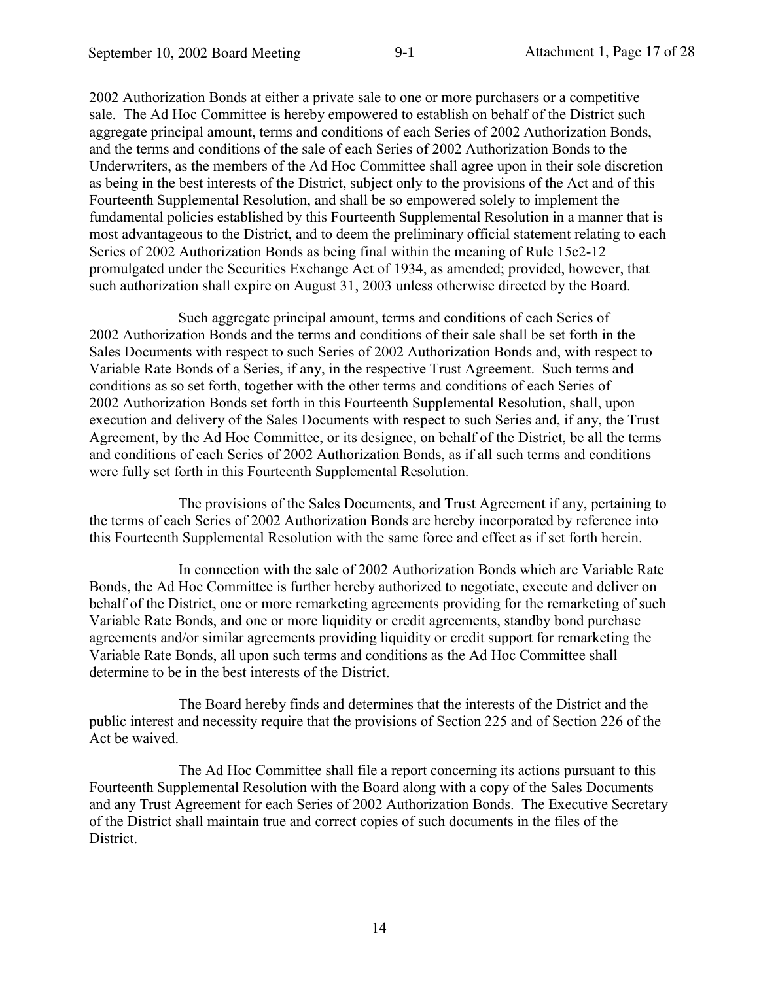2002 Authorization Bonds at either a private sale to one or more purchasers or a competitive sale. The Ad Hoc Committee is hereby empowered to establish on behalf of the District such aggregate principal amount, terms and conditions of each Series of 2002 Authorization Bonds, and the terms and conditions of the sale of each Series of 2002 Authorization Bonds to the Underwriters, as the members of the Ad Hoc Committee shall agree upon in their sole discretion as being in the best interests of the District, subject only to the provisions of the Act and of this Fourteenth Supplemental Resolution, and shall be so empowered solely to implement the fundamental policies established by this Fourteenth Supplemental Resolution in a manner that is most advantageous to the District, and to deem the preliminary official statement relating to each Series of 2002 Authorization Bonds as being final within the meaning of Rule 15c2-12 promulgated under the Securities Exchange Act of 1934, as amended; provided, however, that such authorization shall expire on August 31, 2003 unless otherwise directed by the Board.

Such aggregate principal amount, terms and conditions of each Series of 2002 Authorization Bonds and the terms and conditions of their sale shall be set forth in the Sales Documents with respect to such Series of 2002 Authorization Bonds and, with respect to Variable Rate Bonds of a Series, if any, in the respective Trust Agreement. Such terms and conditions as so set forth, together with the other terms and conditions of each Series of 2002 Authorization Bonds set forth in this Fourteenth Supplemental Resolution, shall, upon execution and delivery of the Sales Documents with respect to such Series and, if any, the Trust Agreement, by the Ad Hoc Committee, or its designee, on behalf of the District, be all the terms and conditions of each Series of 2002 Authorization Bonds, as if all such terms and conditions were fully set forth in this Fourteenth Supplemental Resolution.

The provisions of the Sales Documents, and Trust Agreement if any, pertaining to the terms of each Series of 2002 Authorization Bonds are hereby incorporated by reference into this Fourteenth Supplemental Resolution with the same force and effect as if set forth herein.

In connection with the sale of 2002 Authorization Bonds which are Variable Rate Bonds, the Ad Hoc Committee is further hereby authorized to negotiate, execute and deliver on behalf of the District, one or more remarketing agreements providing for the remarketing of such Variable Rate Bonds, and one or more liquidity or credit agreements, standby bond purchase agreements and/or similar agreements providing liquidity or credit support for remarketing the Variable Rate Bonds, all upon such terms and conditions as the Ad Hoc Committee shall determine to be in the best interests of the District.

The Board hereby finds and determines that the interests of the District and the public interest and necessity require that the provisions of Section 225 and of Section 226 of the Act be waived.

The Ad Hoc Committee shall file a report concerning its actions pursuant to this Fourteenth Supplemental Resolution with the Board along with a copy of the Sales Documents and any Trust Agreement for each Series of 2002 Authorization Bonds. The Executive Secretary of the District shall maintain true and correct copies of such documents in the files of the District.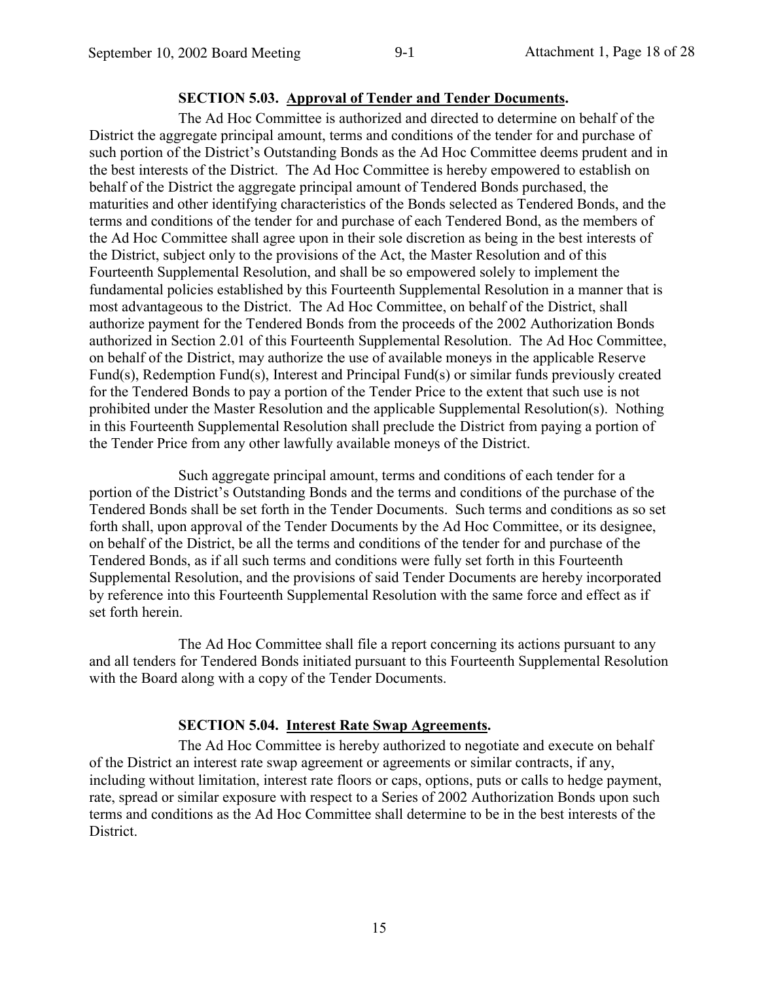## **SECTION 5.03. Approval of Tender and Tender Documents.**

The Ad Hoc Committee is authorized and directed to determine on behalf of the District the aggregate principal amount, terms and conditions of the tender for and purchase of such portion of the District's Outstanding Bonds as the Ad Hoc Committee deems prudent and in the best interests of the District. The Ad Hoc Committee is hereby empowered to establish on behalf of the District the aggregate principal amount of Tendered Bonds purchased, the maturities and other identifying characteristics of the Bonds selected as Tendered Bonds, and the terms and conditions of the tender for and purchase of each Tendered Bond, as the members of the Ad Hoc Committee shall agree upon in their sole discretion as being in the best interests of the District, subject only to the provisions of the Act, the Master Resolution and of this Fourteenth Supplemental Resolution, and shall be so empowered solely to implement the fundamental policies established by this Fourteenth Supplemental Resolution in a manner that is most advantageous to the District. The Ad Hoc Committee, on behalf of the District, shall authorize payment for the Tendered Bonds from the proceeds of the 2002 Authorization Bonds authorized in Section 2.01 of this Fourteenth Supplemental Resolution. The Ad Hoc Committee, on behalf of the District, may authorize the use of available moneys in the applicable Reserve Fund(s), Redemption Fund(s), Interest and Principal Fund(s) or similar funds previously created for the Tendered Bonds to pay a portion of the Tender Price to the extent that such use is not prohibited under the Master Resolution and the applicable Supplemental Resolution(s). Nothing in this Fourteenth Supplemental Resolution shall preclude the District from paying a portion of the Tender Price from any other lawfully available moneys of the District.

Such aggregate principal amount, terms and conditions of each tender for a portion of the District's Outstanding Bonds and the terms and conditions of the purchase of the Tendered Bonds shall be set forth in the Tender Documents. Such terms and conditions as so set forth shall, upon approval of the Tender Documents by the Ad Hoc Committee, or its designee, on behalf of the District, be all the terms and conditions of the tender for and purchase of the Tendered Bonds, as if all such terms and conditions were fully set forth in this Fourteenth Supplemental Resolution, and the provisions of said Tender Documents are hereby incorporated by reference into this Fourteenth Supplemental Resolution with the same force and effect as if set forth herein.

The Ad Hoc Committee shall file a report concerning its actions pursuant to any and all tenders for Tendered Bonds initiated pursuant to this Fourteenth Supplemental Resolution with the Board along with a copy of the Tender Documents.

### **SECTION 5.04.** Interest Rate Swap Agreements.

The Ad Hoc Committee is hereby authorized to negotiate and execute on behalf of the District an interest rate swap agreement or agreements or similar contracts, if any, including without limitation, interest rate floors or caps, options, puts or calls to hedge payment, rate, spread or similar exposure with respect to a Series of 2002 Authorization Bonds upon such terms and conditions as the Ad Hoc Committee shall determine to be in the best interests of the District.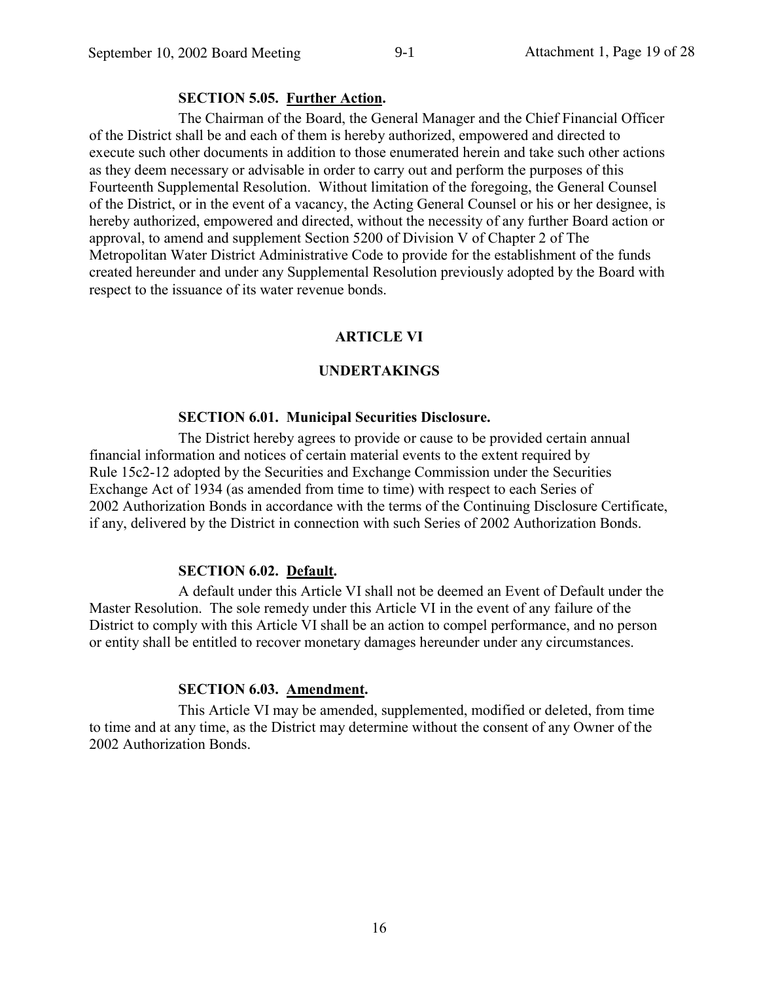## **SECTION 5.05. Further Action.**

The Chairman of the Board, the General Manager and the Chief Financial Officer of the District shall be and each of them is hereby authorized, empowered and directed to execute such other documents in addition to those enumerated herein and take such other actions as they deem necessary or advisable in order to carry out and perform the purposes of this Fourteenth Supplemental Resolution. Without limitation of the foregoing, the General Counsel of the District, or in the event of a vacancy, the Acting General Counsel or his or her designee, is hereby authorized, empowered and directed, without the necessity of any further Board action or approval, to amend and supplement Section 5200 of Division V of Chapter 2 of The Metropolitan Water District Administrative Code to provide for the establishment of the funds created hereunder and under any Supplemental Resolution previously adopted by the Board with respect to the issuance of its water revenue bonds.

## **ARTICLE VI**

## **UNDERTAKINGS**

### **SECTION 6.01. Municipal Securities Disclosure.**

The District hereby agrees to provide or cause to be provided certain annual financial information and notices of certain material events to the extent required by Rule 15c2-12 adopted by the Securities and Exchange Commission under the Securities Exchange Act of 1934 (as amended from time to time) with respect to each Series of 2002 Authorization Bonds in accordance with the terms of the Continuing Disclosure Certificate. if any, delivered by the District in connection with such Series of 2002 Authorization Bonds.

### **SECTION 6.02. Default.**

A default under this Article VI shall not be deemed an Event of Default under the Master Resolution. The sole remedy under this Article VI in the event of any failure of the District to comply with this Article VI shall be an action to compel performance, and no person or entity shall be entitled to recover monetary damages hereunder under any circumstances.

## **SECTION 6.03. Amendment.**

This Article VI may be amended, supplemented, modified or deleted, from time to time and at any time, as the District may determine without the consent of any Owner of the 2002 Authorization Bonds.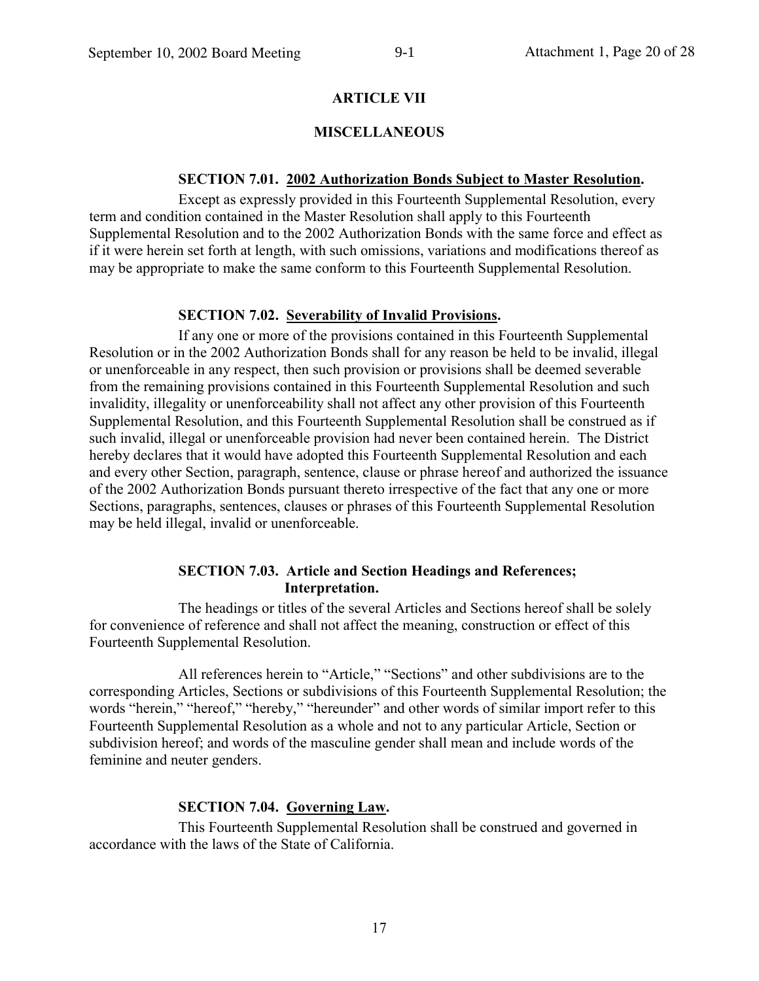## **ARTICLE VII**

## **MISCELLANEOUS**

#### **SECTION 7.01. 2002 Authorization Bonds Subject to Master Resolution.**

Except as expressly provided in this Fourteenth Supplemental Resolution, every term and condition contained in the Master Resolution shall apply to this Fourteenth Supplemental Resolution and to the 2002 Authorization Bonds with the same force and effect as if it were herein set forth at length, with such omissions, variations and modifications thereof as may be appropriate to make the same conform to this Fourteenth Supplemental Resolution.

### **SECTION 7.02. Severability of Invalid Provisions.**

If any one or more of the provisions contained in this Fourteenth Supplemental Resolution or in the 2002 Authorization Bonds shall for any reason be held to be invalid, illegal or unenforceable in any respect, then such provision or provisions shall be deemed severable from the remaining provisions contained in this Fourteenth Supplemental Resolution and such invalidity, illegality or unenforceability shall not affect any other provision of this Fourteenth Supplemental Resolution, and this Fourteenth Supplemental Resolution shall be construed as if such invalid, illegal or unenforceable provision had never been contained herein. The District hereby declares that it would have adopted this Fourteenth Supplemental Resolution and each and every other Section, paragraph, sentence, clause or phrase hereof and authorized the issuance of the 2002 Authorization Bonds pursuant thereto irrespective of the fact that any one or more Sections, paragraphs, sentences, clauses or phrases of this Fourteenth Supplemental Resolution may be held illegal, invalid or unenforceable.

#### **SECTION 7.03. Article and Section Headings and References;** Interpretation.

The headings or titles of the several Articles and Sections hereof shall be solely for convenience of reference and shall not affect the meaning, construction or effect of this Fourteenth Supplemental Resolution.

All references herein to "Article," "Sections" and other subdivisions are to the corresponding Articles, Sections or subdivisions of this Fourteenth Supplemental Resolution; the words "herein," "hereof," "hereby," "hereunder" and other words of similar import refer to this Fourteenth Supplemental Resolution as a whole and not to any particular Article, Section or subdivision hereof; and words of the masculine gender shall mean and include words of the feminine and neuter genders.

#### **SECTION 7.04. Governing Law.**

This Fourteenth Supplemental Resolution shall be construed and governed in accordance with the laws of the State of California.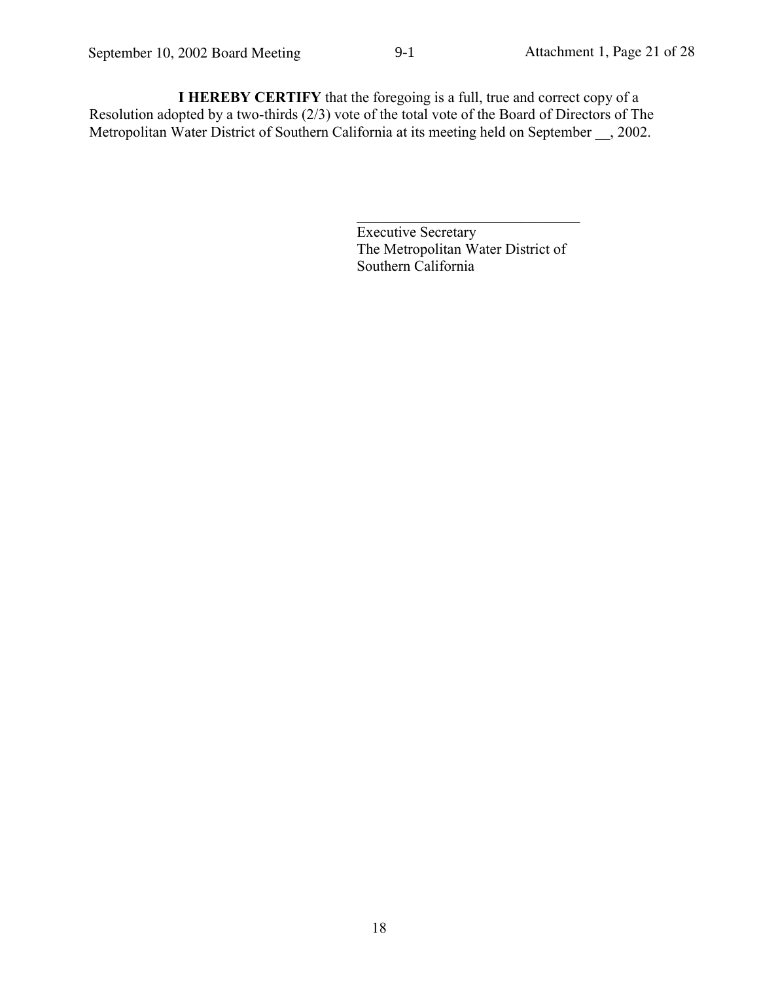I HEREBY CERTIFY that the foregoing is a full, true and correct copy of a Resolution adopted by a two-thirds  $(2/3)$  vote of the total vote of the Board of Directors of The Metropolitan Water District of Southern California at its meeting held on September \_\_, 2002.

 $9-1$ 

**Executive Secretary** The Metropolitan Water District of Southern California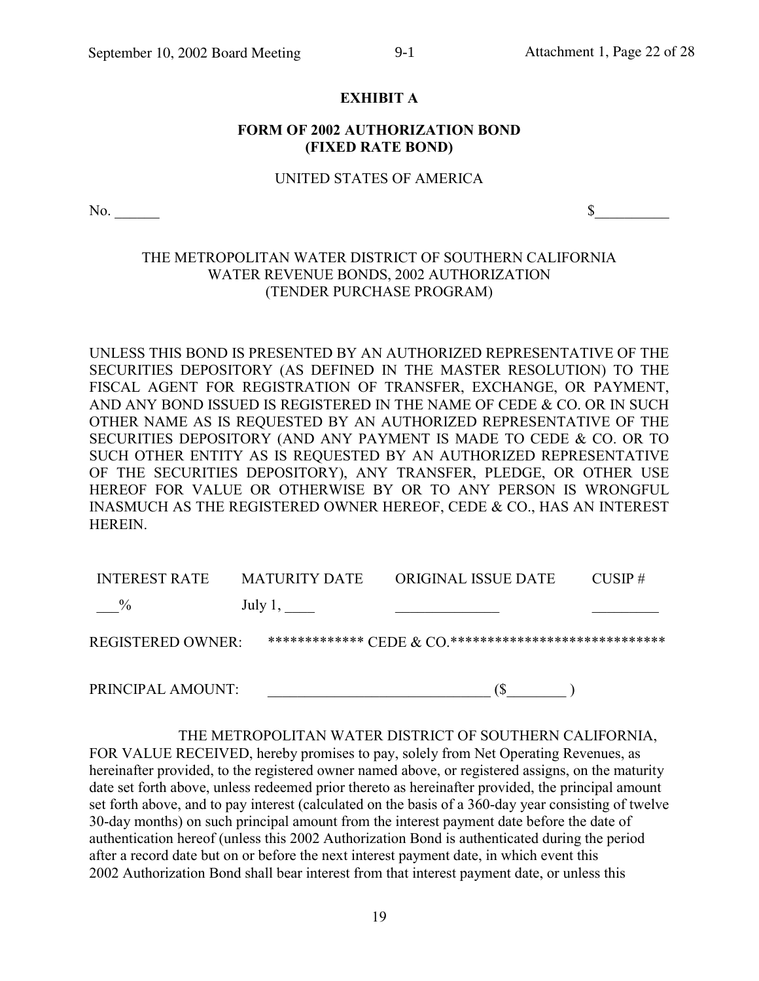#### **EXHIBIT A**

## **FORM OF 2002 AUTHORIZATION BOND** (FIXED RATE BOND)

#### UNITED STATES OF AMERICA

 $No.$ 

 $\sim$ 

## THE METROPOLITAN WATER DISTRICT OF SOUTHERN CALIFORNIA WATER REVENUE BONDS, 2002 AUTHORIZATION (TENDER PURCHASE PROGRAM)

UNLESS THIS BOND IS PRESENTED BY AN AUTHORIZED REPRESENTATIVE OF THE SECURITIES DEPOSITORY (AS DEFINED IN THE MASTER RESOLUTION) TO THE FISCAL AGENT FOR REGISTRATION OF TRANSFER, EXCHANGE, OR PAYMENT, AND ANY BOND ISSUED IS REGISTERED IN THE NAME OF CEDE & CO. OR IN SUCH OTHER NAME AS IS REQUESTED BY AN AUTHORIZED REPRESENTATIVE OF THE SECURITIES DEPOSITORY (AND ANY PAYMENT IS MADE TO CEDE & CO. OR TO SUCH OTHER ENTITY AS IS REQUESTED BY AN AUTHORIZED REPRESENTATIVE OF THE SECURITIES DEPOSITORY), ANY TRANSFER, PLEDGE, OR OTHER USE HEREOF FOR VALUE OR OTHERWISE BY OR TO ANY PERSON IS WRONGFUL INASMUCH AS THE REGISTERED OWNER HEREOF, CEDE & CO., HAS AN INTEREST HEREIN.

| <b>INTEREST RATE</b>     | MATURITY DATE | <b>ORIGINAL ISSUE DATE</b>                                                                        | $CIISP \#$ |
|--------------------------|---------------|---------------------------------------------------------------------------------------------------|------------|
| $\%$                     | July $1,$     |                                                                                                   |            |
| <b>REGISTERED OWNER:</b> |               | ************** $\operatorname{CEDE}$ $\alpha$ $\operatorname{CO}$ ******************************* |            |
|                          |               |                                                                                                   |            |

PRINCIPAL AMOUNT:  $(S \t)$ 

THE METROPOLITAN WATER DISTRICT OF SOUTHERN CALIFORNIA, FOR VALUE RECEIVED, hereby promises to pay, solely from Net Operating Revenues, as hereinafter provided, to the registered owner named above, or registered assigns, on the maturity date set forth above, unless redeemed prior thereto as hereinafter provided, the principal amount set forth above, and to pay interest (calculated on the basis of a 360-day year consisting of twelve 30-day months) on such principal amount from the interest payment date before the date of authentication hereof (unless this 2002 Authorization Bond is authenticated during the period after a record date but on or before the next interest payment date, in which event this 2002 Authorization Bond shall bear interest from that interest payment date, or unless this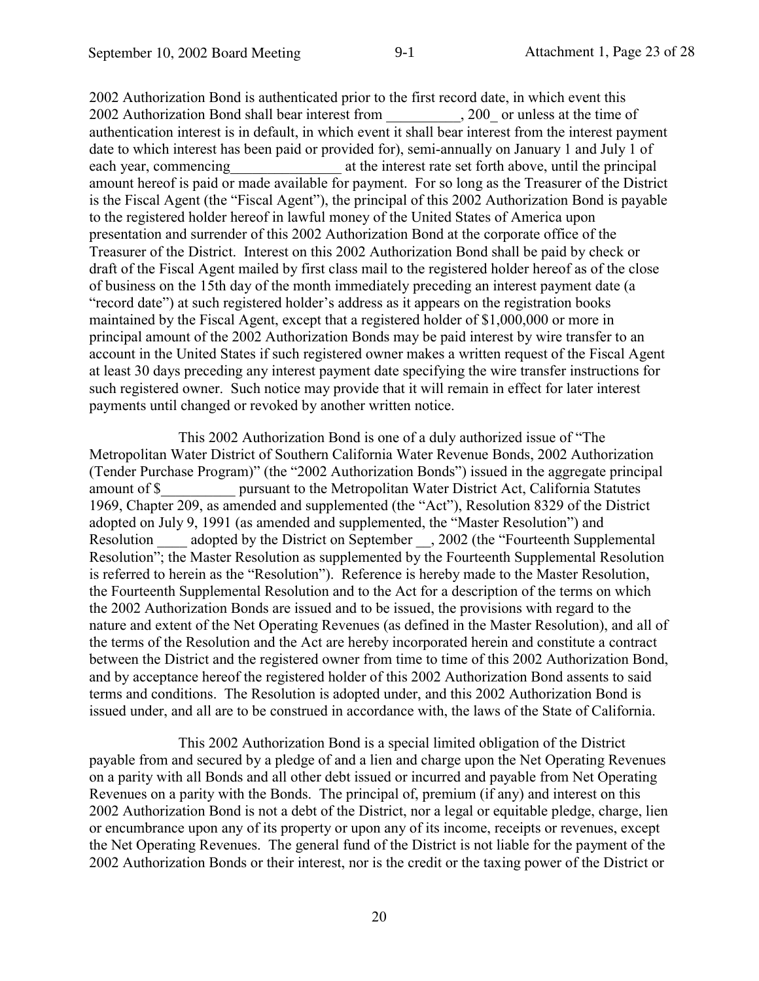2002 Authorization Bond is authoriticated prior to the first record date, in which event this 2002 Authorization Bond shall bear interest from 200 or unless at the time of authentication interest is in default, in which event it shall bear interest from the interest payment date to which interest has been paid or provided for), semi-annually on January 1 and July 1 of at the interest rate set forth above, until the principal each year, commencing amount hereof is paid or made available for payment. For so long as the Treasurer of the District is the Fiscal Agent (the "Fiscal Agent"), the principal of this 2002 Authorization Bond is payable to the registered holder hereof in lawful money of the United States of America upon presentation and surrender of this 2002 Authorization Bond at the corporate office of the Treasurer of the District. Interest on this 2002 Authorization Bond shall be paid by check or draft of the Fiscal Agent mailed by first class mail to the registered holder hereof as of the close of business on the 15th day of the month immediately preceding an interest payment date (a "record date") at such registered holder's address as it appears on the registration books maintained by the Fiscal Agent, except that a registered holder of \$1,000,000 or more in principal amount of the 2002 Authorization Bonds may be paid interest by wire transfer to an account in the United States if such registered owner makes a written request of the Fiscal Agent at least 30 days preceding any interest payment date specifying the wire transfer instructions for such registered owner. Such notice may provide that it will remain in effect for later interest payments until changed or revoked by another written notice.

This 2002 Authorization Bond is one of a duly authorized issue of "The Metropolitan Water District of Southern California Water Revenue Bonds, 2002 Authorization (Tender Purchase Program)" (the "2002 Authorization Bonds") issued in the aggregate principal pursuant to the Metropolitan Water District Act, California Statutes amount of \$ 1969, Chapter 209, as amended and supplemented (the "Act"), Resolution 8329 of the District adopted on July 9, 1991 (as amended and supplemented, the "Master Resolution") and Resolution adopted by the District on September , 2002 (the "Fourteenth Supplemental Resolution"; the Master Resolution as supplemented by the Fourteenth Supplemental Resolution is referred to herein as the "Resolution"). Reference is hereby made to the Master Resolution, the Fourteenth Supplemental Resolution and to the Act for a description of the terms on which the 2002 Authorization Bonds are issued and to be issued, the provisions with regard to the nature and extent of the Net Operating Revenues (as defined in the Master Resolution), and all of the terms of the Resolution and the Act are hereby incorporated herein and constitute a contract between the District and the registered owner from time to time of this 2002 Authorization Bond, and by acceptance hereof the registered holder of this 2002 Authorization Bond assents to said terms and conditions. The Resolution is adopted under, and this 2002 Authorization Bond is issued under, and all are to be construed in accordance with, the laws of the State of California.

This 2002 Authorization Bond is a special limited obligation of the District payable from and secured by a pledge of and a lien and charge upon the Net Operating Revenues on a parity with all Bonds and all other debt issued or incurred and payable from Net Operating Revenues on a parity with the Bonds. The principal of, premium (if any) and interest on this 2002 Authorization Bond is not a debt of the District, nor a legal or equitable pledge, charge, lien or encumbrance upon any of its property or upon any of its income, receipts or revenues, except the Net Operating Revenues. The general fund of the District is not liable for the payment of the 2002 Authorization Bonds or their interest, nor is the credit or the taxing power of the District or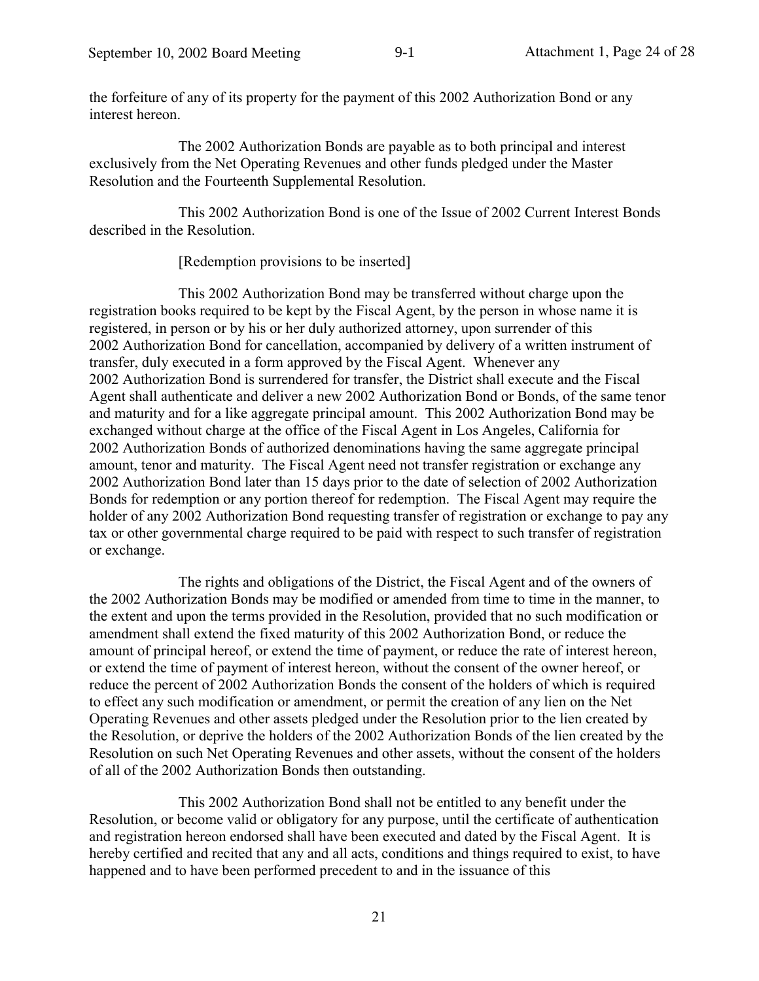the forfeiture of any of its property for the payment of this 2002 Authorization Bond or any interest hereon

The 2002 Authorization Bonds are payable as to both principal and interest exclusively from the Net Operating Revenues and other funds pledged under the Master Resolution and the Fourteenth Supplemental Resolution.

This 2002 Authorization Bond is one of the Issue of 2002 Current Interest Bonds described in the Resolution.

[Redemption provisions to be inserted]

This 2002 Authorization Bond may be transferred without charge upon the registration books required to be kept by the Fiscal Agent, by the person in whose name it is registered, in person or by his or her duly authorized attorney, upon surrender of this 2002 Authorization Bond for cancellation, accompanied by delivery of a written instrument of transfer, duly executed in a form approved by the Fiscal Agent. Whenever any 2002 Authorization Bond is surrendered for transfer, the District shall execute and the Fiscal Agent shall authenticate and deliver a new 2002 Authorization Bond or Bonds, of the same tenor and maturity and for a like aggregate principal amount. This 2002 Authorization Bond may be exchanged without charge at the office of the Fiscal Agent in Los Angeles. California for 2002 Authorization Bonds of authorized denominations having the same aggregate principal amount, tenor and maturity. The Fiscal Agent need not transfer registration or exchange any 2002 Authorization Bond later than 15 days prior to the date of selection of 2002 Authorization Bonds for redemption or any portion thereof for redemption. The Fiscal Agent may require the holder of any 2002 Authorization Bond requesting transfer of registration or exchange to pay any tax or other governmental charge required to be paid with respect to such transfer of registration or exchange.

The rights and obligations of the District, the Fiscal Agent and of the owners of the 2002 Authorization Bonds may be modified or amended from time to time in the manner, to the extent and upon the terms provided in the Resolution, provided that no such modification or amendment shall extend the fixed maturity of this 2002 Authorization Bond, or reduce the amount of principal hereof, or extend the time of payment, or reduce the rate of interest hereon, or extend the time of payment of interest hereon, without the consent of the owner hereof, or reduce the percent of 2002 Authorization Bonds the consent of the holders of which is required to effect any such modification or amendment, or permit the creation of any lien on the Net Operating Revenues and other assets pledged under the Resolution prior to the lien created by the Resolution, or deprive the holders of the 2002 Authorization Bonds of the lien created by the Resolution on such Net Operating Revenues and other assets, without the consent of the holders of all of the 2002 Authorization Bonds then outstanding.

This 2002 Authorization Bond shall not be entitled to any benefit under the Resolution, or become valid or obligatory for any purpose, until the certificate of authentication and registration hereon endorsed shall have been executed and dated by the Fiscal Agent. It is hereby certified and recited that any and all acts, conditions and things required to exist, to have happened and to have been performed precedent to and in the issuance of this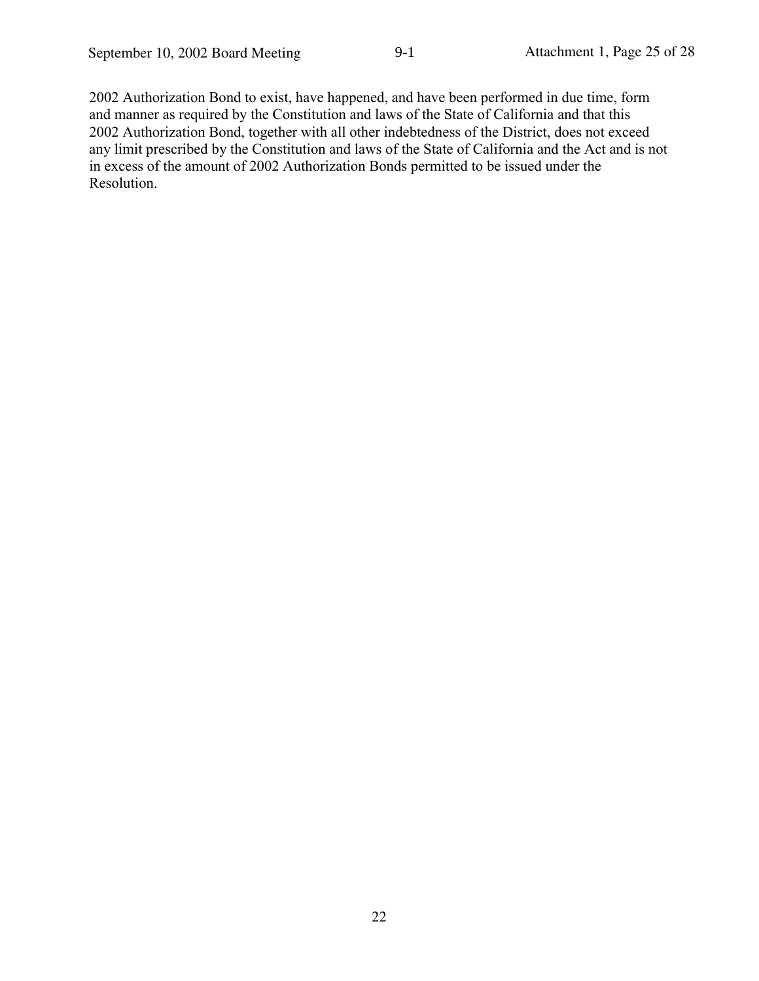2002 Authorization Bond to exist, have happened, and have been performed in due time, form and manner as required by the Constitution and laws of the State of California and that this 2002 Authorization Bond, together with all other indebtedness of the District, does not exceed any limit prescribed by the Constitution and laws of the State of California and the Act and is not in excess of the amount of 2002 Authorization Bonds permitted to be issued under the Resolution.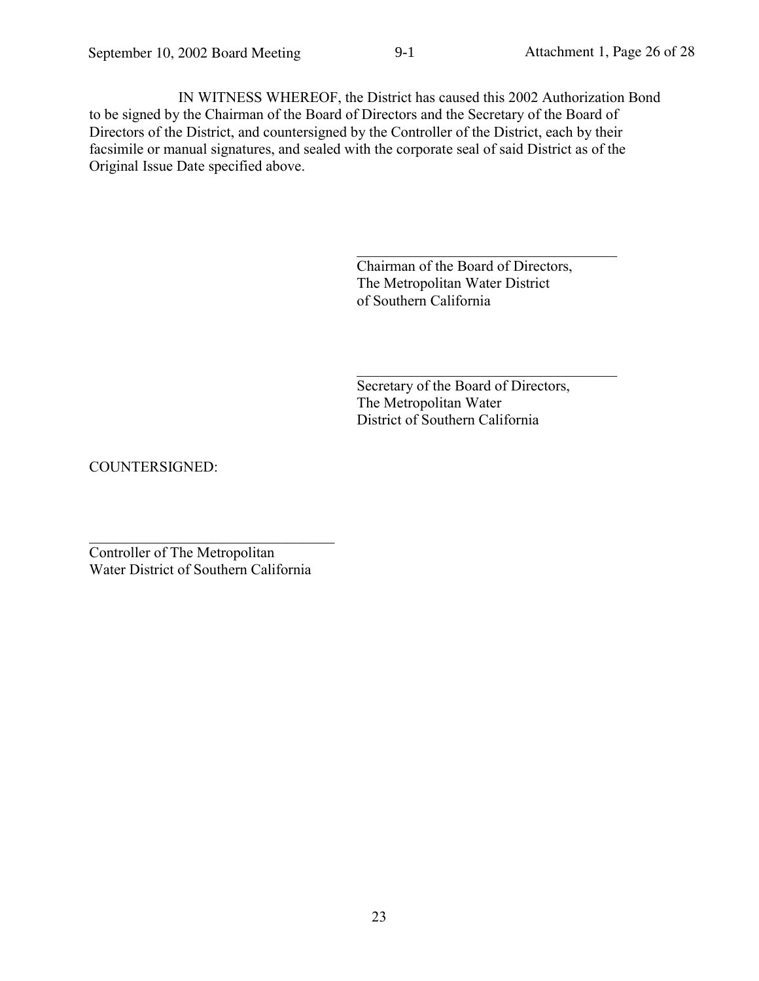IN WITNESS WHEREOF, the District has caused this 2002 Authorization Bond to be signed by the Chairman of the Board of Directors and the Secretary of the Board of Directors of the District, and countersigned by the Controller of the District, each by their facsimile or manual signatures, and sealed with the corporate seal of said District as of the Original Issue Date specified above.

> Chairman of the Board of Directors, The Metropolitan Water District of Southern California

Secretary of the Board of Directors, The Metropolitan Water District of Southern California

COUNTERSIGNED:

Controller of The Metropolitan Water District of Southern California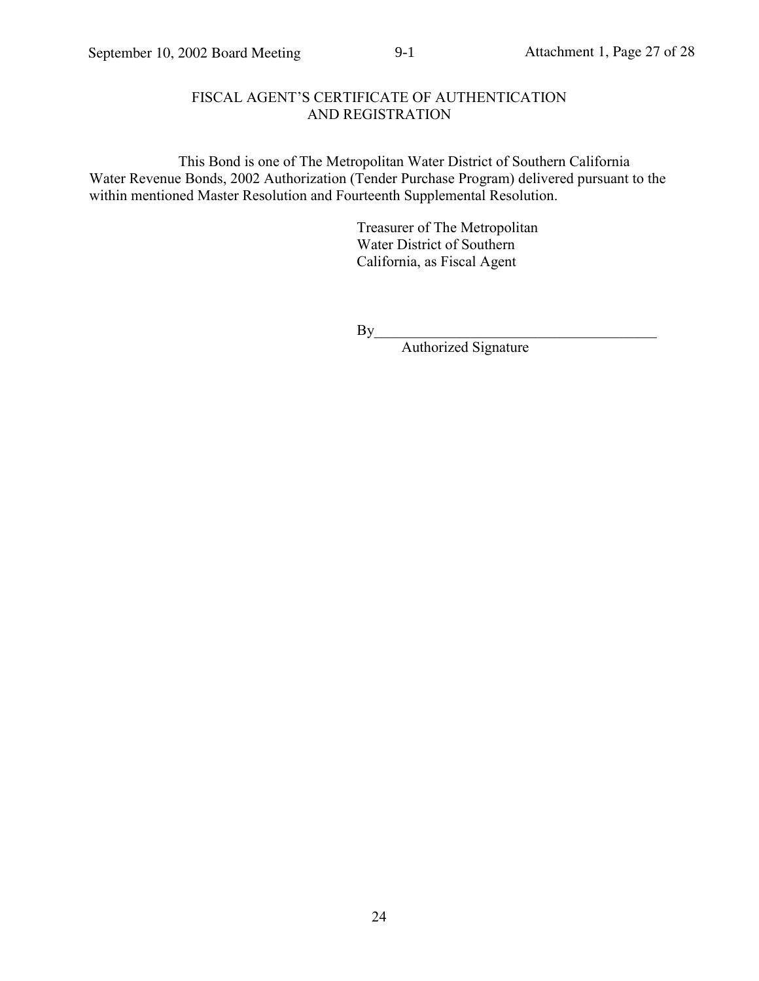## FISCAL AGENT'S CERTIFICATE OF AUTHENTICATION AND REGISTRATION

 $9-1$ 

This Bond is one of The Metropolitan Water District of Southern California Water Revenue Bonds, 2002 Authorization (Tender Purchase Program) delivered pursuant to the within mentioned Master Resolution and Fourteenth Supplemental Resolution.

> Treasurer of The Metropolitan Water District of Southern California, as Fiscal Agent

Authorized Signature